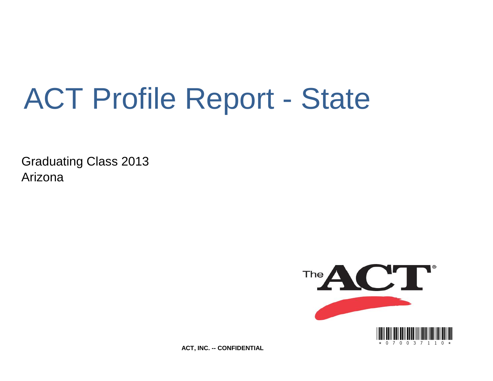# ACT Profile Report - State

Graduating Class 2013 Arizona



**ACT, INC. -- CONFIDENTIAL**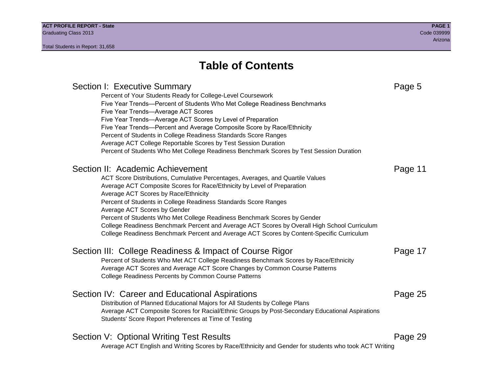Section I: Executive Summary **Page 5** and the section I: Executive Summary Percent of Your Students Ready for College-Level Coursework Five Year Trends—Percent of Students Who Met College Readiness Benchmarks Five Year Trends—Average ACT Scores Five Year Trends—Average ACT Scores by Level of Preparation Five Year Trends—Percent and Average Composite Score by Race/Ethnicity Percent of Students in College Readiness Standards Score Ranges Average ACT College Reportable Scores by Test Session Duration Percent of Students Who Met College Readiness Benchmark Scores by Test Session Duration Section II: Academic Achievement **Page 11** Page 11 ACT Score Distributions, Cumulative Percentages, Averages, and Quartile Values Average ACT Composite Scores for Race/Ethnicity by Level of Preparation Average ACT Scores by Race/Ethnicity Percent of Students in College Readiness Standards Score Ranges Average ACT Scores by Gender Percent of Students Who Met College Readiness Benchmark Scores by Gender College Readiness Benchmark Percent and Average ACT Scores by Overall High School Curriculum College Readiness Benchmark Percent and Average ACT Scores by Content-Specific Curriculum Section III: College Readiness & Impact of Course Rigor Page 17 Percent of Students Who Met ACT College Readiness Benchmark Scores by Race/Ethnicity Average ACT Scores and Average ACT Score Changes by Common Course Patterns College Readiness Percents by Common Course Patterns Section IV: Career and Educational Aspirations **Page 25** Page 25 Distribution of Planned Educational Majors for All Students by College Plans Average ACT Composite Scores for Racial/Ethnic Groups by Post-Secondary Educational Aspirations Students' Score Report Preferences at Time of Testing Section V: Optional Writing Test Results **Page 29** Page 29 Average ACT English and Writing Scores by Race/Ethnicity and Gender for students who took ACT Writing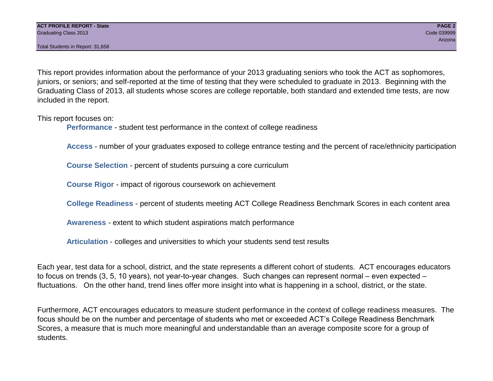This report provides information about the performance of your 2013 graduating seniors who took the ACT as sophomores, juniors, or seniors; and self-reported at the time of testing that they were scheduled to graduate in 2013. Beginning with the Graduating Class of 2013, all students whose scores are college reportable, both standard and extended time tests, are now included in the report.

This report focuses on:

**Performance** - student test performance in the context of college readiness

**Access** - number of your graduates exposed to college entrance testing and the percent of race/ethnicity participation

**Course Selection** - percent of students pursuing a core curriculum

**Course Rigor** - impact of rigorous coursework on achievement

**College Readiness** - percent of students meeting ACT College Readiness Benchmark Scores in each content area

**Awareness** - extent to which student aspirations match performance

**Articulation** - colleges and universities to which your students send test results

Each year, test data for a school, district, and the state represents a different cohort of students. ACT encourages educators to focus on trends (3, 5, 10 years), not year-to-year changes. Such changes can represent normal – even expected – fluctuations. On the other hand, trend lines offer more insight into what is happening in a school, district, or the state.

Furthermore, ACT encourages educators to measure student performance in the context of college readiness measures. The focus should be on the number and percentage of students who met or exceeded ACT's College Readiness Benchmark Scores, a measure that is much more meaningful and understandable than an average composite score for a group of students.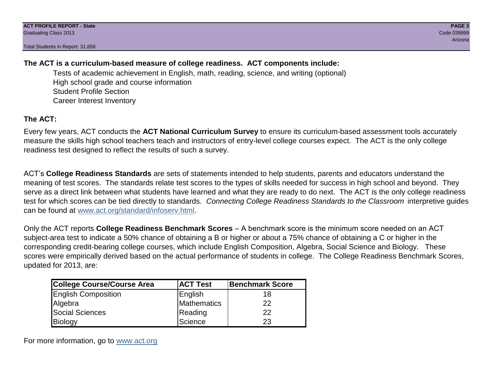# **The ACT is a curriculum-based measure of college readiness. ACT components include:**

Tests of academic achievement in English, math, reading, science, and writing (optional) High school grade and course information Student Profile Section Career Interest Inventory

# **The ACT:**

Every few years, ACT conducts the **ACT National Curriculum Survey** to ensure its curriculum-based assessment tools accurately measure the skills high school teachers teach and instructors of entry-level college courses expect. The ACT is the only college readiness test designed to reflect the results of such a survey.

ACT's **College Readiness Standards** are sets of statements intended to help students, parents and educators understand the meaning of test scores. The standards relate test scores to the types of skills needed for success in high school and beyond. They serve as a direct link between what students have learned and what they are ready to do next. The ACT is the only college readiness test for which scores can be tied directly to standards. *Connecting College Readiness Standards to the Classroom* interpretive guides can be found at www.act.org/standard/infoserv.html.

Only the ACT reports **College Readiness Benchmark Scores** – A benchmark score is the minimum score needed on an ACT subject-area test to indicate a 50% chance of obtaining a B or higher or about a 75% chance of obtaining a C or higher in the corresponding credit-bearing college courses, which include English Composition, Algebra, Social Science and Biology. These scores were empirically derived based on the actual performance of students in college. The College Readiness Benchmark Scores, updated for 2013, are:

| College Course/Course Area | <b>ACT Test</b> | <b>Benchmark Score</b> |
|----------------------------|-----------------|------------------------|
| <b>English Composition</b> | English         | 18                     |
| Algebra                    | Mathematics     | 22                     |
| <b>Social Sciences</b>     | Reading         | 22                     |
| Biology                    | Science         | 23                     |

For more information, go to www.act.org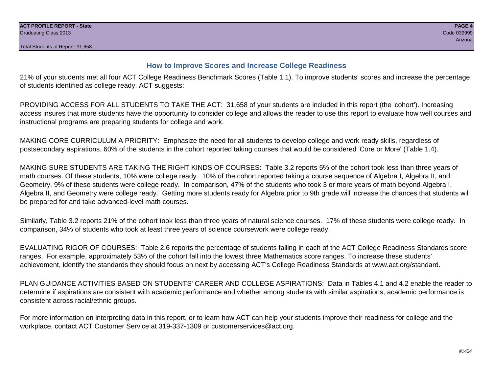# **How to Improve Scores and Increase College Readiness**

21% of your students met all four ACT College Readiness Benchmark Scores (Table 1.1). To improve students' scores and increase the percentage of students identified as college ready, ACT suggests:

PROVIDING ACCESS FOR ALL STUDENTS TO TAKE THE ACT: 31,658 of your students are included in this report (the 'cohort'). Increasing access insures that more students have the opportunity to consider college and allows the reader to use this report to evaluate how well courses and instructional programs are preparing students for college and work.

MAKING CORE CURRICULUM A PRIORITY: Emphasize the need for all students to develop college and work ready skills, regardless of postsecondary aspirations. 60% of the students in the cohort reported taking courses that would be considered 'Core or More' (Table 1.4).

MAKING SURE STUDENTS ARE TAKING THE RIGHT KINDS OF COURSES: Table 3.2 reports 5% of the cohort took less than three years of math courses. Of these students, 10% were college ready. 10% of the cohort reported taking a course sequence of Algebra I, Algebra II, and Geometry. 9% of these students were college ready. In comparison, 47% of the students who took 3 or more years of math beyond Algebra I, Algebra II, and Geometry were college ready. Getting more students ready for Algebra prior to 9th grade will increase the chances that students will be prepared for and take advanced-level math courses.

Similarly, Table 3.2 reports 21% of the cohort took less than three years of natural science courses. 17% of these students were college ready. In comparison, 34% of students who took at least three years of science coursework were college ready.

EVALUATING RIGOR OF COURSES: Table 2.6 reports the percentage of students falling in each of the ACT College Readiness Standards score ranges. For example, approximately 53% of the cohort fall into the lowest three Mathematics score ranges. To increase these students' achievement, identify the standards they should focus on next by accessing ACT's College Readiness Standards at www.act.org/standard.

PLAN GUIDANCE ACTIVITIES BASED ON STUDENTS' CAREER AND COLLEGE ASPIRATIONS: Data in Tables 4.1 and 4.2 enable the reader to determine if aspirations are consistent with academic performance and whether among students with similar aspirations, academic performance is consistent across racial/ethnic groups.

For more information on interpreting data in this report, or to learn how ACT can help your students improve their readiness for college and the workplace, contact ACT Customer Service at 319-337-1309 or customerservices@act.org.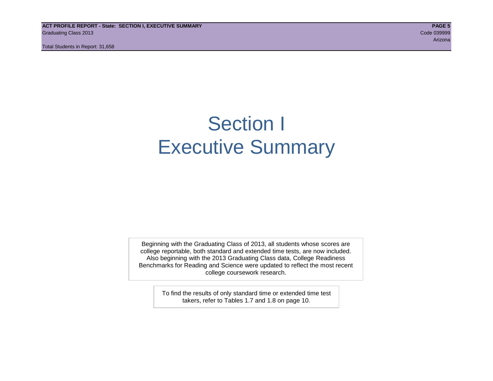**ACT PROFILE REPORT - State: SECTION I, EXECUTIVE SUMMARY PAGE 5** Graduating Class 2013 Code 039999

Total Students in Report: 31,658

arizona de la construcción de la construcción de la construcción de la construcción de la construcción de la c

# Section I Executive Summary

Beginning with the Graduating Class of 2013, all students whose scores are college reportable, both standard and extended time tests, are now included. Also beginning with the 2013 Graduating Class data, College Readiness Benchmarks for Reading and Science were updated to reflect the most recent college coursework research.

> To find the results of only standard time or extended time test takers, refer to Tables 1.7 and 1.8 on page 10.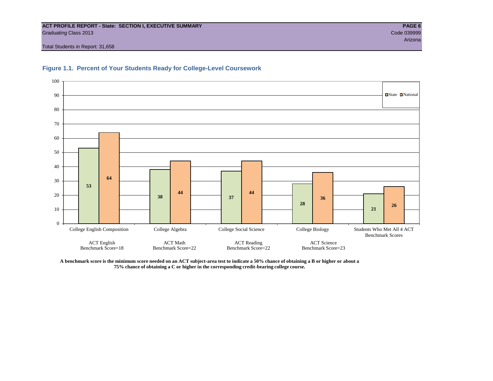#### **ACT PROFILE REPORT - State: SECTION I, EXECUTIVE SUMMARY PAGE 6** Graduating Class 2013 Code 039999

Total Students in Report: 31,658



#### **Figure 1.1. Percent of Your Students Ready for College-Level Coursework**

**A benchmark score is the minimum score needed on an ACT subject-area test to indicate a 50% chance of obtaining a B or higher or about a 75% chance of obtaining a C or higher in the corresponding credit-bearing college course.**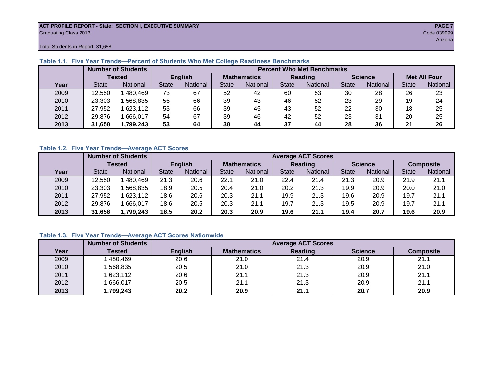#### **ACT PROFILE REPORT - State: SECTION I, EXECUTIVE SUMMARY PAGE 7** Graduating Class 2013 Code 039999

arizona a sensa a sensa a sensa a sensa a sensa a sensa a sensa a sensa a sensa a sensa a sensa a Arizona. Ari

Total Students in Report: 31,658

|      |              | <b>Number of Students</b> |              | <b>Percent Who Met Benchmarks</b> |                    |          |              |          |                |          |                     |          |  |  |
|------|--------------|---------------------------|--------------|-----------------------------------|--------------------|----------|--------------|----------|----------------|----------|---------------------|----------|--|--|
|      |              | <b>Tested</b>             |              | <b>English</b>                    | <b>Mathematics</b> |          | Reading      |          | <b>Science</b> |          | <b>Met All Four</b> |          |  |  |
| Year | <b>State</b> | <b>National</b>           | <b>State</b> | National                          |                    | National | <b>State</b> | National |                | National | <b>State</b>        | National |  |  |
| 2009 | 12,550       | ,480,469                  | 73           | 67                                | 52                 | 42       | 60           | 53       | 30             | 28       | 26                  | 23       |  |  |
| 2010 | 23,303       | .568.835                  | 56           | 66                                | 39                 | 43       | 46           | 52       | 23             | 29       | 19                  | 24       |  |  |
| 2011 | 27,952       | ,623,112                  | 53           | 66                                | 39                 | 45       | 43           | 52       | 22             | 30       | 18                  | 25       |  |  |
| 2012 | 29,876       | .666,017                  | 54           | 67                                | 39                 | 46       | 42           | 52       | 23             | 31       | 20                  | 25       |  |  |
| 2013 | 31,658       | 1,799,243                 | 53           | 64                                | 38                 | 44       | 37           | 44       | 28             | 36       | 21                  | 26       |  |  |

# **Table 1.1. Five Year Trends—Percent of Students Who Met College Readiness Benchmarks**

# **Table 1.2. Five Year Trends—Average ACT Scores**

|      |              | <b>Number of Students</b> |              |                 |                    | <b>Average ACT Scores</b> |                |                 |                |          |                  |          |  |  |  |
|------|--------------|---------------------------|--------------|-----------------|--------------------|---------------------------|----------------|-----------------|----------------|----------|------------------|----------|--|--|--|
|      |              | Tested                    |              | <b>English</b>  | <b>Mathematics</b> |                           | <b>Reading</b> |                 | <b>Science</b> |          | <b>Composite</b> |          |  |  |  |
| Year | <b>State</b> | National                  | <b>State</b> | <b>National</b> |                    | <b>National</b>           | <b>State</b>   | <b>National</b> | <b>State</b>   | National | <b>State</b>     | National |  |  |  |
| 2009 | 12.550       | .480.469                  | 21.3         | 20.6            | 22.1               | 21.0                      | 22.4           | 21.4            | 21.3           | 20.9     | 21.9             | 21.1     |  |  |  |
| 2010 | 23,303       | .568.835                  | 18.9         | 20.5            | 20.4               | 21.0                      | 20.2           | 21.3            | 19.9           | 20.9     | 20.0             | 21.0     |  |  |  |
| 2011 | 27.952       | ,623,112                  | 18.6         | 20.6            | 20.3               | 21.1                      | 19.9           | 21.3            | 19.6           | 20.9     | 19.7             | 21.1     |  |  |  |
| 2012 | 29,876       | .666,017                  | 18.6         | 20.5            | 20.3               | 21.1                      | 19.7           | 21.3            | 19.5           | 20.9     | 19.7             | 21.1     |  |  |  |
| 2013 | 31,658       | 1,799,243                 | 18.5         | 20.2            | 20.3               | 20.9                      | 19.6           | 21.1            | 19.4           | 20.7     | 19.6             | 20.9     |  |  |  |

# **Table 1.3. Five Year Trends—Average ACT Scores Nationwide**

|      | <b>Number of Students</b> |                | <b>Average ACT Scores</b> |         |                |                  |  |  |  |  |  |  |
|------|---------------------------|----------------|---------------------------|---------|----------------|------------------|--|--|--|--|--|--|
| Year | Tested                    | <b>English</b> | <b>Mathematics</b>        | Reading | <b>Science</b> | <b>Composite</b> |  |  |  |  |  |  |
| 2009 | ,480,469                  | 20.6           | 21.0                      | 21.4    | 20.9           | 21.1             |  |  |  |  |  |  |
| 2010 | ,568,835                  | 20.5           | 21.0                      | 21.3    | 20.9           | 21.0             |  |  |  |  |  |  |
| 2011 | ,623,112                  | 20.6           | 21.1                      | 21.3    | 20.9           | 21.1             |  |  |  |  |  |  |
| 2012 | ,666,017                  | 20.5           | 21.1                      | 21.3    | 20.9           | 21.1             |  |  |  |  |  |  |
| 2013 | ,799,243                  | 20.2           | 20.9                      | 21.1    | 20.7           | 20.9             |  |  |  |  |  |  |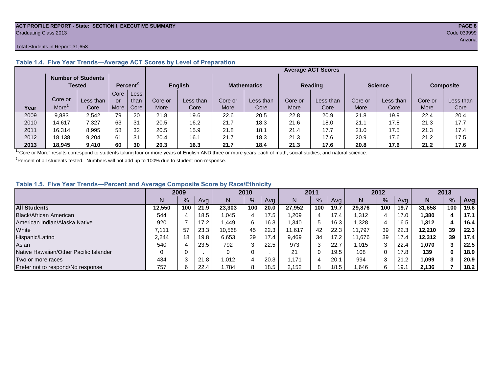#### **ACT PROFILE REPORT - State: SECTION I, EXECUTIVE SUMMARY PAGE 8** Graduating Class 2013 Code 039999

#### Total Students in Report: 31,658

|      |         |                                     |      |                      |                | <b>Average ACT Scores</b> |                    |           |                |           |                |           |                  |           |  |  |
|------|---------|-------------------------------------|------|----------------------|----------------|---------------------------|--------------------|-----------|----------------|-----------|----------------|-----------|------------------|-----------|--|--|
|      |         | <b>Number of Students</b><br>Tested |      | Percent <sup>2</sup> | <b>English</b> |                           | <b>Mathematics</b> |           | <b>Reading</b> |           | <b>Science</b> |           | <b>Composite</b> |           |  |  |
|      |         |                                     | Core | Less                 |                |                           |                    |           |                |           |                |           |                  |           |  |  |
|      | Core or | Less than                           | or   | than                 | Core or        | Less than                 | Core or            | Less than | Core or        | Less than | Core or        | Less than | Core or          | Less than |  |  |
| Year | More    | Core                                | More | Core                 | More           | Core                      | More               | Core      | More           | Core      | More           | Core      | More             | Core      |  |  |
| 2009 | 9,883   | 2,542                               | 79   | 20                   | 21.8           | 19.6                      | 22.6               | 20.5      | 22.8           | 20.9      | 21.8           | 19.9      | 22.4             | 20.4      |  |  |
| 2010 | 14.617  | 7.327                               | 63   | 31                   | 20.5           | 16.2                      | 21.7               | 18.3      | 21.6           | 18.0      | 21.1           | 17.8      | 21.3             | 17.7      |  |  |
| 2011 | 16,314  | 8,995                               | 58   | 32                   | 20.5           | 15.9                      | 21.8               | 18.1      | 21.4           | 17.7      | 21.0           | 17.5      | 21.3             | 17.4      |  |  |
| 2012 | 18,138  | 9.204                               | 61   | 31                   | 20.4           | 16.7                      | 21.7               | 18.3      | 21.3           | 17.6      | 20.9           | 17.6      | 21.2             | 17.5      |  |  |
| 2013 | 18.945  | 9,410                               | 60   | 30                   | 20.3           | 16.3                      | 21.7               | 18.4      | 21.3           | 17.6      | 20.8           | 17.6      | 21.2             | 17.6      |  |  |

# **Table 1.4. Five Year Trends—Average ACT Scores by Level of Preparation**

<sup>1</sup>"Core or More" results correspond to students taking four or more years of English AND three or more years each of math, social studies, and natural science.

 $2$ Percent of all students tested. Numbers will not add up to 100% due to student non-response.

# **Table 1.5. Five Year Trends—Percent and Average Composite Score by Race/Ethnicity**

|                                        | 2009   |      | 2010 |        | 2011 |      |        | 2012          |      |        | 2013 |      |        |     |      |
|----------------------------------------|--------|------|------|--------|------|------|--------|---------------|------|--------|------|------|--------|-----|------|
|                                        |        | $\%$ | Avg  | N      | %    | Ava  | N      | $\frac{9}{6}$ | Avg  | Ν      | %    | Ava  | N      | %   | Avg  |
| <b>All Students</b>                    | 12.550 | 100  | 21.9 | 23.303 | 100  | 20.0 | 27.952 | 100           | 19.7 | 29.876 | 100  | 19.7 | 31.658 | 100 | 19.6 |
| Black/African American                 | 544    |      | 18.5 | 1,045  | 4    | 17.5 | ,209   | 4             | 17.4 | 1,312  | 4    | 17.0 | 1,380  |     | 17.1 |
| American Indian/Alaska Native          | 920    |      | 17.2 | .449.  | 6    | 16.3 | 340. ا | 5             | 16.3 | ,328   | 4    | 16.5 | 1,312  |     | 16.4 |
| White                                  | 7.111  | 57   | 23.3 | 10,568 | 45   | 22.3 | 11.617 | 42            | 22.3 | 11.797 | 39   | 22.3 | 12.210 | 39  | 22.3 |
| Hispanic/Latino                        | 2.244  | 18   | 19.8 | 6,653  | 29   | 17.4 | 9,469  | 34            | 17.2 | 11.676 | 39   | 17.4 | 12.312 | 39  | 17.4 |
| Asian                                  | 540    |      | 23.5 | 792    | 3    | 22.5 | 973    | 3             | 22.7 | 1,015  |      | 22.4 | 1.070  |     | 22.5 |
| Native Hawaiian/Other Pacific Islander |        |      |      |        | 0    |      | 21     |               | 19.5 | 108    |      | 17.8 | 139    | 0   | 18.9 |
| Two or more races                      | 434    |      | 21.8 | 1.012  | 4    | 20.3 | 1.171  | 4             | 20.7 | 994    | ົ    | 21.2 | 1,099  |     | 20.9 |
| Prefer not to respond/No response      | 757    |      | 22.4 | .784.  | 8    | 18.5 | 2,152  | 8             | 18.5 | .646   | 6    | 19.7 | 2,136  |     | 18.2 |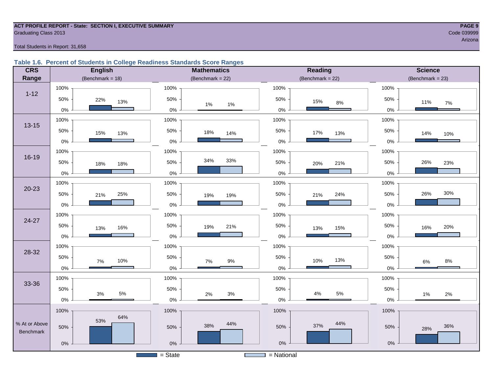#### **ACT PROFILE REPORT - State: SECTION I, EXECUTIVE SUMMARY PAGE 9 Graduating Class 2013** Code 039999 Code 039999

arizona a sensa a sensa a sensa a sensa a sensa a sensa a sensa a sensa a sensa a sensa a sensa a sensa a sens

#### Total Students in Report: 31,658

# **Table 1.6. Percent of Students in College Readiness Standards Score Ranges**

| <b>CRS</b>    | <b>English</b>      | <b>Mathematics</b>                    | <b>Reading</b>      | <b>Science</b>      |
|---------------|---------------------|---------------------------------------|---------------------|---------------------|
| Range         | (Benchmark = $18$ ) | (Benchmark = $22$ )                   | (Benchmark = $22$ ) | $(Benchmark = 23)$  |
|               | 100%                | 100%                                  | 100%                | 100%                |
| $1 - 12$      | 50%<br>22%<br>13%   | 50%<br>$1\%$<br>$1\%$                 | 50%<br>15%<br>$8\%$ | 50%<br>11%<br>$7\%$ |
|               | $0\%$               | $0\%$                                 | $0\%$               | 0%                  |
| $13 - 15$     | 100%                | 100%                                  | 100%                | 100%                |
|               | 50%<br>15%<br>13%   | 50%<br>18%<br>14%                     | 50%<br>17%<br>13%   | 50%<br>14%<br>10%   |
|               | $0\%$               | $0\%$                                 | $0\%$               | $0\%$               |
|               | 100%                | 100%                                  | 100%                | 100%                |
| $16 - 19$     | 50%<br>18%<br>18%   | 34%<br>33%<br>50%                     | 50%<br>21%<br>20%   | 26%<br>50%<br>23%   |
|               | $0\%$               | $0\%$                                 | $0\%$               | $0\%$               |
|               | 100%                | 100%                                  | 100%                | 100%                |
| $20 - 23$     | 50%<br>25%<br>21%   | 50%<br>19%<br>19%                     | 50%<br>24%<br>21%   | 30%<br>26%<br>50%   |
|               | $0\%$               | $0\%$                                 | $0\%$               | $0\%$               |
| 24-27         | 100%                | 100%                                  | 100%                | 100%                |
|               | 50%<br>16%<br>13%   | 50%<br>21%<br>19%                     | 50%<br>15%<br>13%   | 50%<br>20%<br>16%   |
|               | 0%                  | 0%                                    | $0\%$               | 0%                  |
| 28-32         | 100%                | 100%                                  | 100%                | 100%                |
|               | 50%<br>10%<br>7%    | 50%<br>$9\%$<br>7%                    | 50%<br>13%<br>10%   | 50%<br>$8\%$<br>6%  |
|               | $0\%$               | $0\%$                                 | $0\%$               | $0\%$               |
|               | 100%                | 100%                                  | 100%                | 100%                |
| 33-36         | 50%                 | 50%                                   | 50%                 | 50%                 |
|               | 5%<br>3%<br>$0\%$   | $3%$<br>2%<br>$0\%$                   | 5%<br>4%<br>$0\%$   | 1%<br>2%<br>0%      |
|               | 100%                | 100%                                  | 100%                | 100%                |
| % At or Above | 64%<br>53%          | 44%                                   | 44%                 |                     |
| Benchmark     | 50%                 | 38%<br>50%                            | 37%<br>50%          | 36%<br>50%<br>28%   |
|               | $0\%$               | 0%                                    | $0\%$               | $0\%$               |
|               |                     | $=$ State<br><b>Contract Contract</b> | $=$ National        |                     |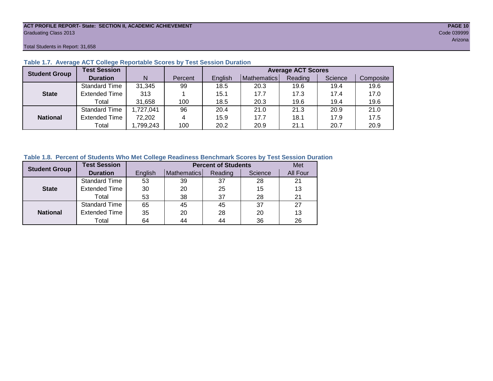#### **ACT PROFILE REPORT- State: SECTION II, ACADEMIC ACHIEVEMENT PAGE 10** Graduating Class 2013 Code 039999

Total Students in Report: 31,658

| <b>Student Group</b> | <b>Test Session</b>  |           |         | <b>Average ACT Scores</b> |             |         |         |           |  |  |  |  |
|----------------------|----------------------|-----------|---------|---------------------------|-------------|---------|---------|-----------|--|--|--|--|
|                      | <b>Duration</b>      | N         | Percent | English                   | Mathematics | Reading | Science | Composite |  |  |  |  |
|                      | <b>Standard Time</b> | 31,345    | 99      | 18.5                      | 20.3        | 19.6    | 19.4    | 19.6      |  |  |  |  |
| <b>State</b>         | <b>Extended Time</b> | 313       |         | 15.1                      | 17.7        | 17.3    | 17.4    | 17.0      |  |  |  |  |
|                      | Total                | 31,658    | 100     | 18.5                      | 20.3        | 19.6    | 19.4    | 19.6      |  |  |  |  |
|                      | <b>Standard Time</b> | 1,727,041 | 96      | 20.4                      | 21.0        | 21.3    | 20.9    | 21.0      |  |  |  |  |
| <b>National</b>      | <b>Extended Time</b> | 72,202    | 4       | 15.9                      | 17.7        | 18.1    | 17.9    | 17.5      |  |  |  |  |
|                      | Total                | ,799,243  | 100     | 20.2                      | 20.9        | 21.1    | 20.7    | 20.9      |  |  |  |  |

# **Table 1.7. Average ACT College Reportable Scores by Test Session Duration**

# **Table 1.8. Percent of Students Who Met College Readiness Benchmark Scores by Test Session Duration**

| <b>Student Group</b> | <b>Test Session</b>  |         | <b>Percent of Students</b> | Met     |         |          |
|----------------------|----------------------|---------|----------------------------|---------|---------|----------|
|                      | <b>Duration</b>      | English | Mathematics                | Reading | Science | All Four |
|                      | <b>Standard Time</b> | 53      | 39                         | 37      | 28      | 21       |
| <b>State</b>         | <b>Extended Time</b> | 30      | 20                         | 25      | 15      | 13       |
|                      | Total                | 53      | 38                         | 37      | 28      | 21       |
|                      | <b>Standard Time</b> | 65      | 45                         | 45      | 37      | 27       |
| <b>National</b>      | <b>Extended Time</b> | 35      | 20                         | 28      | 20      | 13       |
|                      | Total                | 64      | 44                         | 44      | 36      | 26       |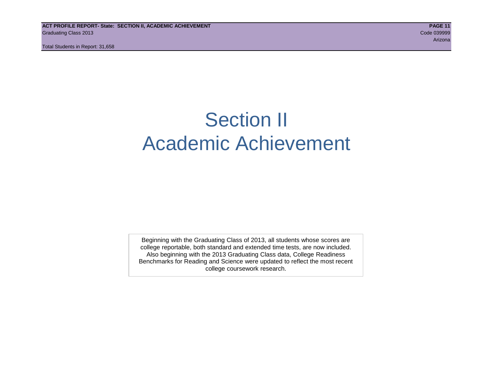# Section II Academic Achievement

Beginning with the Graduating Class of 2013, all students whose scores are college reportable, both standard and extended time tests, are now included. Also beginning with the 2013 Graduating Class data, College Readiness Benchmarks for Reading and Science were updated to reflect the most recent college coursework research.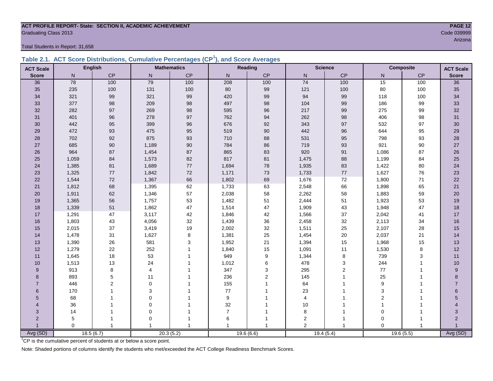# **ACT PROFILE REPORT- State: SECTION II, ACADEMIC ACHIEVEMENT PAGE 12** Graduating Class 2013 Code 039999

Total Students in Report: 31,658

|  | Table 2.1. ACT Score Distributions, Cumulative Percentages (CP <sup>1</sup> ), and Score Averages |  |  |  |
|--|---------------------------------------------------------------------------------------------------|--|--|--|
|  |                                                                                                   |  |  |  |

| <b>ACT Scale</b> |          | <b>English</b> |             | <b>Mathematics</b> |                  | <b>Reading</b> | <b>Science</b>  |                | <b>Composite</b> |                | <b>ACT Scale</b> |
|------------------|----------|----------------|-------------|--------------------|------------------|----------------|-----------------|----------------|------------------|----------------|------------------|
| <b>Score</b>     | N        | CP             | ${\sf N}$   | $\mathsf{CP}$      | $\mathsf{N}$     | CP             | ${\sf N}$       | CP             | N                | $\mathsf{CP}$  | <b>Score</b>     |
| 36               | 78       | 100            | 79          | 100                | 208              | 100            | $\overline{74}$ | 100            | 15               | 100            | $\overline{36}$  |
| 35               | 235      | 100            | 131         | 100                | 80               | 99             | 121             | 100            | 80               | 100            | 35               |
| 34               | 321      | 99             | 321         | 99                 | 420              | 99             | 94              | 99             | 118              | 100            | 34               |
| 33               | 377      | 98             | 209         | 98                 | 497              | 98             | 104             | 99             | 186              | 99             | 33               |
| 32               | 282      | 97             | 269         | 98                 | 595              | 96             | 217             | 99             | 275              | 99             | 32               |
| 31               | 401      | 96             | 278         | 97                 | 762              | 94             | 262             | $98\,$         | 406              | 98             | 31               |
| 30               | 442      | 95             | 399         | 96                 | 676              | 92             | 343             | $97\,$         | 532              | 97             | 30               |
| 29               | 472      | 93             | 475         | 95                 | 519              | 90             | 442             | 96             | 644              | 95             | 29               |
| 28               | 702      | 92             | 875         | 93                 | 710              | 88             | 531             | 95             | 798              | 93             | 28               |
| 27               | 685      | 90             | 1,189       | $90\,$             | 784              | 86             | 719             | 93             | 921              | 90             | $27\,$           |
| 26               | 964      | 87             | 1,454       | 87                 | 865              | 83             | 920             | 91             | 1,086            | 87             | $26\,$           |
| 25               | 1,059    | 84             | 1,573       | 82                 | 817              | 81             | 1,475           | 88             | 1,199            | 84             | 25               |
| 24               | 1,385    | 81             | 1,689       | $77\,$             | 1,694            | 78             | 1,935           | 83             | 1,422            | 80             | 24               |
| 23               | 1,325    | $77\,$         | 1,842       | 72                 | 1,171            | 73             | 1,733           | $77\,$         | 1,627            | 76             | 23               |
| 22               | 1,544    | $72\,$         | 1,367       | 66                 | 1,802            | 69             | 1,676           | 72             | 1,800            | 71             | 22               |
| 21               | 1,812    | 68             | 1,395       | 62                 | 1,733            | 63             | 2,548           | 66             | 1,898            | 65             | 21               |
| 20               | 1,911    | 62             | 1,346       | 57                 | 2,038            | 58             | 2,262           | 58             | 1,883            | 59             | 20               |
| 19               | 1,365    | 56             | 1,757       | 53                 | 1,482            | 51             | 2,444           | 51             | 1,923            | 53             | 19               |
| 18               | 1,339    | 51             | 1,862       | 47                 | 1,514            | 47             | 1,909           | 43             | 1,948            | 47             | 18               |
| 17               | 1,291    | 47             | 3,117       | 42                 | 1,846            | 42             | 1,566           | 37             | 2,042            | 41             | 17               |
| 16               | 1,803    | 43             | 4,056       | 32                 | 1,439            | 36             | 2,458           | 32             | 2,113            | 34             | 16               |
| 15               | 2,015    | 37             | 3,419       | 19                 | 2,002            | 32             | 1,511           | 25             | 2,107            | 28             | 15               |
| 14               | 1,478    | 31             | 1,627       | $\bf8$             | 1,381            | 25             | 1,454           | $20\,$         | 2,037            | 21             | 14               |
| 13               | 1,390    | 26             | 581         | 3                  | 1,952            | 21             | 1,394           | 15             | 1,968            | 15             | 13               |
| 12               | 1,279    | 22             | 252         | $\overline{1}$     | 1,840            | 15             | 1,091           | 11             | 1,530            | 8              | 12               |
| 11               | 1,645    | 18             | 53          |                    | 949              | 9              | 1,344           | 8              | 739              | 3              | 11               |
| 10               | 1,513    | 13             | 24          |                    | 1,012            | 6              | 478             | 3              | 244              | 1              | 10               |
| 9                | 913      | 8              | 4           |                    | 347              | 3              | 295             | 2              | $77\,$           |                | 9                |
| 8                | 893      | 5              | 11          |                    | 236              | $\overline{c}$ | 145             | 1              | 25               |                | 8                |
| $\overline{7}$   | 446      | $\overline{2}$ | $\mathbf 0$ |                    | 155              | 1              | 64              |                | 9                |                | $\overline{7}$   |
| 6                | 170      |                | 3           |                    | 77               |                | 23              |                | 3                |                | 6                |
| 5                | 68       |                | 0           |                    | $\boldsymbol{9}$ |                | $\overline{4}$  |                | $\overline{c}$   |                | 5                |
| $\overline{A}$   | 36       |                | $\mathbf 0$ |                    | 32               |                | 10              |                |                  |                |                  |
| 3                | 14       |                | $\mathbf 0$ |                    | $\overline{7}$   |                | 8               |                | $\Omega$         |                | 3                |
| $\overline{2}$   | 5        |                | $\Omega$    |                    | 6                |                | $\overline{c}$  | -1             | $\Omega$         |                | $\overline{2}$   |
|                  | $\Omega$ | $\overline{1}$ |             | -1                 | $\overline{1}$   | 1              | $\overline{2}$  | $\overline{1}$ | $\Omega$         | $\overline{1}$ |                  |
| Avg (SD)         |          | 18.5(6.7)      |             | 20.3(5.2)          |                  | 19.6(6.6)      |                 | 19.4(5.4)      |                  | 19.6(5.5)      | Avg (SD)         |

<sup>1</sup>CP is the cumulative percent of students at or below a score point.

Note: Shaded portions of columns identify the students who met/exceeded the ACT College Readiness Benchmark Scores.

arizona de la construcción de la construcción de la construcción de la construcción de la construcción de la c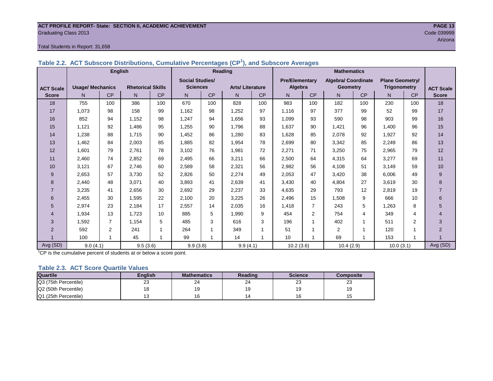#### **ACT PROFILE REPORT- State: SECTION II, ACADEMIC ACHIEVEMENT PAGE 13 Graduating Class 2013** Code 039999

#### Total Students in Report: 31,658

|                  |                         | <b>English</b> |                          |     |                        |           | Reading                |           |                       |                | <b>Mathematics</b>         |                 |                        |                |                  |
|------------------|-------------------------|----------------|--------------------------|-----|------------------------|-----------|------------------------|-----------|-----------------------|----------------|----------------------------|-----------------|------------------------|----------------|------------------|
|                  |                         |                |                          |     | <b>Social Studies/</b> |           |                        |           | <b>Pre/Elementary</b> |                | <b>Algebra/ Coordinate</b> |                 | <b>Plane Geometry/</b> |                |                  |
| <b>ACT Scale</b> | <b>Usage/ Mechanics</b> |                | <b>Rhetorical Skills</b> |     | <b>Sciences</b>        |           | <b>Arts/Literature</b> |           |                       | Algebra        |                            | <b>Geometry</b> | <b>Trigonometry</b>    |                | <b>ACT Scale</b> |
| <b>Score</b>     | N                       | CP             | N.                       | CP  | N <sub>1</sub>         | <b>CP</b> | N                      | <b>CP</b> | N                     | CP             | N.                         | CP              | N                      | CP             | <b>Score</b>     |
| 18               | 755                     | 100            | 386                      | 100 | 670                    | 100       | 828                    | 100       | 983                   | 100            | 182                        | 100             | 230                    | 100            | 18               |
| 17               | 1,073                   | 98             | 158                      | 99  | 1,162                  | 98        | 1,252                  | 97        | 1,116                 | 97             | 377                        | 99              | 52                     | 99             | 17               |
| 16               | 852                     | 94             | 1.152                    | 98  | 1,247                  | 94        | 1,656                  | 93        | 1,099                 | 93             | 590                        | 98              | 903                    | 99             | 16               |
| 15               | 1,121                   | 92             | 1.486                    | 95  | 1,255                  | 90        | 1.796                  | 88        | 1,637                 | 90             | 1,421                      | 96              | 1.400                  | 96             | 15               |
| 14               | 1,238                   | 88             | 1.715                    | 90  | 1,452                  | 86        | 1,280                  | 83        | 1,628                 | 85             | 2,078                      | 92              | 1,927                  | 92             | 14               |
| 13               | 1,462                   | 84             | 2,003                    | 85  | 1,885                  | 82        | 1.954                  | 78        | 2,699                 | 80             | 3,342                      | 85              | 2,249                  | 86             | 13               |
| 12               | 1,601                   | 79             | 2.761                    | 78  | 3,102                  | 76        | 1,981                  | 72        | 2,271                 | 71             | 3,250                      | 75              | 2,965                  | 79             | 12               |
| 11               | 2,460                   | 74             | 2,852                    | 69  | 2,495                  | 66        | 3,211                  | 66        | 2,500                 | 64             | 4,315                      | 64              | 3,277                  | 69             | 11               |
| 10               | 3,121                   | 67             | 2,746                    | 60  | 2,589                  | 58        | 2,321                  | 56        | 2,982                 | 56             | 4,108                      | 51              | 3,149                  | 59             | 10               |
| 9                | 2,653                   | 57             | 3.730                    | 52  | 2,826                  | 50        | 2,274                  | 49        | 2,053                 | 47             | 3,420                      | 38              | 6,006                  | 49             | 9                |
| 8                | 2,440                   | 48             | 3.071                    | 40  | 3,893                  | 41        | 2,639                  | 41        | 3,430                 | 40             | 4,804                      | 27              | 3,619                  | 30             | 8                |
| $\overline{7}$   | 3,235                   | 41             | 2,656                    | 30  | 2,692                  | 29        | 2,237                  | 33        | 4,635                 | 29             | 793                        | 12              | 2,819                  | 19             | $\overline{7}$   |
| 6                | 2,455                   | 30             | 1,595                    | 22  | 2,100                  | 20        | 3,225                  | 26        | 2,496                 | 15             | 1,508                      | 9               | 666                    | 10             | 6                |
| 5                | 2,974                   | 23             | 2,184                    | 17  | 2,557                  | 14        | 2,035                  | 16        | 1,418                 | $\overline{7}$ | 243                        | 5               | .263                   | 8              | 5                |
| 4                | 1,934                   | 13             | 1.723                    | 10  | 885                    | 5         | 1,990                  | 9         | 454                   | $\overline{2}$ | 754                        | 4               | 349                    | $\overline{4}$ | 4                |
| 3                | 1,592                   | $\overline{7}$ | 1,154                    | 5   | 485                    | 3         | 616                    | 3         | 196                   | 1              | 402                        | 1               | 511                    | 2              | 3                |
| $\overline{2}$   | 592                     | $\overline{2}$ | 241                      |     | 264                    |           | 349                    |           | 51                    |                | 2                          | 1               | 120                    |                | $\overline{2}$   |
|                  | 100                     |                | 45                       |     | 99                     |           | 14                     |           | 10                    |                | 69                         | 1               | 153                    |                |                  |
| Avg (SD)         | 9.0(4.1)                |                | 9.5(3.6)                 |     | 9.9(3.8)               |           | 9.9(4.1)               |           | 10.2(3.6)             |                | 10.4(2.9)                  |                 | 10.0(3.1)              |                | Avg (SD)         |

### **Table 2.2. ACT Subscore Distributions, Cumulative Percentages (CP<sup>1</sup> ), and Subscore Averages**

 $1$ <sup>-1</sup>CP is the cumulative percent of students at or below a score point.

#### **Table 2.3. ACT Score Quartile Values**

| <b>Quartile</b>      | Enalish | <b>Mathematics</b> | Reading      | <b>Science</b> | Composite |
|----------------------|---------|--------------------|--------------|----------------|-----------|
| Q3 (75th Percentile) | 23      | 24                 | $\sim$<br>24 | ົ<br>د∠        | ົ<br>د∠   |
| Q2 (50th Percentile) |         |                    |              | 19             | 19        |
| Q1 (25th Percentile) |         |                    |              | 16             |           |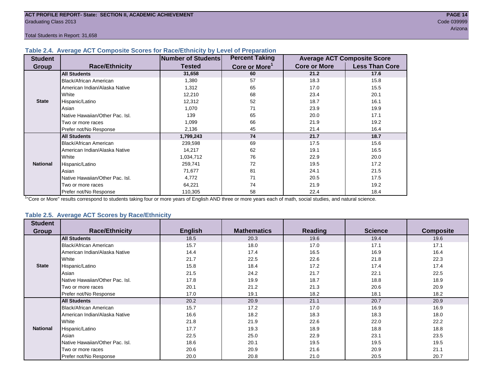#### **Table 2.4. Average ACT Composite Scores for Race/Ethnicity by Level of Preparation**

| <b>Student</b>  |                                 | <b>Number of Students</b> | <b>Percent Taking</b>     |                     | <b>Average ACT Composite Score</b> |
|-----------------|---------------------------------|---------------------------|---------------------------|---------------------|------------------------------------|
| <b>Group</b>    | <b>Race/Ethnicity</b>           | <b>Tested</b>             | Core or More <sup>1</sup> | <b>Core or More</b> | <b>Less Than Core</b>              |
|                 | <b>All Students</b>             | 31,658                    | 60                        | 21.2                | 17.6                               |
|                 | <b>Black/African American</b>   | 1,380                     | 57                        | 18.3                | 15.8                               |
|                 | American Indian/Alaska Native   | 1,312                     | 65                        | 17.0                | 15.5                               |
|                 | White                           | 12,210                    | 68                        | 23.4                | 20.1                               |
| <b>State</b>    | Hispanic/Latino                 | 12,312                    | 52                        | 18.7                | 16.1                               |
|                 | Asian                           | 1,070                     | 71                        | 23.9                | 19.9                               |
|                 | Native Hawaiian/Other Pac. Isl. | 139                       | 65                        | 20.0                | 17.1                               |
|                 | I Two or more races             | 1,099                     | 66                        | 21.9                | 19.2                               |
|                 | Prefer not/No Response          | 2,136                     | 45                        | 21.4                | 16.4                               |
|                 | <b>All Students</b>             | 1,799,243                 | 74                        | 21.7                | 18.7                               |
|                 | Black/African American          | 239,598                   | 69                        | 17.5                | 15.6                               |
|                 | American Indian/Alaska Native   | 14,217                    | 62                        | 19.1                | 16.5                               |
|                 | <b>White</b>                    | 1,034,712                 | 76                        | 22.9                | 20.0                               |
| <b>National</b> | Hispanic/Latino                 | 259,741                   | 72                        | 19.5                | 17.2                               |
|                 | Asian                           | 71,677                    | 81                        | 24.1                | 21.5                               |
|                 | Native Hawaiian/Other Pac. Isl. | 4,772                     | 71                        | 20.5                | 17.5                               |
|                 | Two or more races               | 64,221                    | 74                        | 21.9                | 19.2                               |
|                 | Prefer not/No Response          | 110,305                   | 58                        | 22.4                | 18.4                               |

<sup>1</sup>"Core or More" results correspond to students taking four or more years of English AND three or more years each of math, social studies, and natural science.

#### **Table 2.5. Average ACT Scores by Race/Ethnicity**

| <b>Student</b>  |                                 |                |                    |                |                |                  |
|-----------------|---------------------------------|----------------|--------------------|----------------|----------------|------------------|
| <b>Group</b>    | <b>Race/Ethnicity</b>           | <b>English</b> | <b>Mathematics</b> | <b>Reading</b> | <b>Science</b> | <b>Composite</b> |
|                 | <b>All Students</b>             | 18.5           | 20.3               | 19.6           | 19.4           | 19.6             |
|                 | Black/African American          | 15.7           | 18.0               | 17.0           | 17.1           | 17.1             |
|                 | American Indian/Alaska Native   | 14.4           | 17.4               | 16.5           | 16.9           | 16.4             |
|                 | White                           | 21.7           | 22.5               | 22.6           | 21.8           | 22.3             |
| <b>State</b>    | Hispanic/Latino                 | 15.8           | 18.4               | 17.2           | 17.4           | 17.4             |
|                 | Asian                           | 21.5           | 24.2               | 21.7           | 22.1           | 22.5             |
|                 | Native Hawaiian/Other Pac. Isl. | 17.8           | 19.9               | 18.7           | 18.8           | 18.9             |
|                 | Two or more races               | 20.1           | 21.2               | 21.3           | 20.6           | 20.9             |
|                 | Prefer not/No Response          | 17.0           | 19.1               | 18.2           | 18.1           | 18.2             |
|                 | <b>All Students</b>             | 20.2           | 20.9               | 21.1           | 20.7           | 20.9             |
|                 | Black/African American          | 15.7           | 17.2               | 17.0           | 16.9           | 16.9             |
|                 | American Indian/Alaska Native   | 16.6           | 18.2               | 18.3           | 18.3           | 18.0             |
|                 | White                           | 21.8           | 21.9               | 22.6           | 22.0           | 22.2             |
| <b>National</b> | Hispanic/Latino                 | 17.7           | 19.3               | 18.9           | 18.8           | 18.8             |
|                 | Asian                           | 22.5           | 25.0               | 22.9           | 23.1           | 23.5             |
|                 | Native Hawaiian/Other Pac. Isl. | 18.6           | 20.1               | 19.5           | 19.5           | 19.5             |
|                 | Two or more races               | 20.6           | 20.9               | 21.6           | 20.9           | 21.1             |
|                 | Prefer not/No Response          | 20.0           | 20.8               | 21.0           | 20.5           | 20.7             |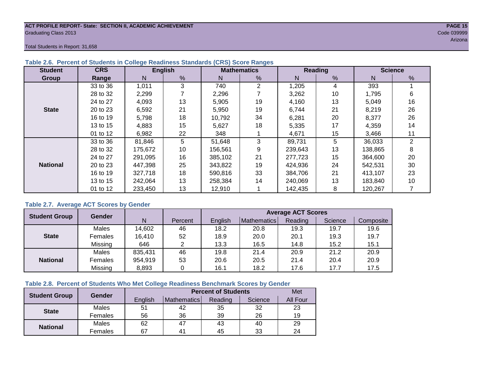#### **ACT PROFILE REPORT- State: SECTION II, ACADEMIC ACHIEVEMENT PAGE 15** Graduating Class 2013 Code 039999

Total Students in Report: 31,658

| <b>Student</b>  | <b>CRS</b> |         | <b>English</b> |         | <b>Mathematics</b><br>Reading |         |    |         | <b>Science</b> |
|-----------------|------------|---------|----------------|---------|-------------------------------|---------|----|---------|----------------|
| <b>Group</b>    | Range      | N       | %              | N       | %                             | N       | %  | N       | %              |
|                 | 33 to 36   | 1,011   | 3              | 740     | $\overline{2}$                | 1,205   | 4  | 393     |                |
|                 | 28 to 32   | 2,299   |                | 2,296   |                               | 3,262   | 10 | 1,795   | 6              |
|                 | 24 to 27   | 4,093   | 13             | 5,905   | 19                            | 4,160   | 13 | 5,049   | 16             |
| <b>State</b>    | 20 to 23   | 6,592   | 21             | 5,950   | 19                            | 6,744   | 21 | 8,219   | 26             |
|                 | 16 to 19   | 5.798   | 18             | 10.792  | 34                            | 6,281   | 20 | 8,377   | 26             |
|                 | 13 to 15   | 4,883   | 15             | 5,627   | 18                            | 5,335   | 17 | 4,359   | 14             |
|                 | 01 to 12   | 6,982   | 22             | 348     |                               | 4,671   | 15 | 3,466   | 11             |
|                 | 33 to 36   | 81,846  | 5              | 51,648  | 3                             | 89,731  | 5  | 36,033  | $\overline{2}$ |
|                 | 28 to 32   | 175,672 | 10             | 156,561 | 9                             | 239,643 | 13 | 138,865 | 8              |
|                 | 24 to 27   | 291,095 | 16             | 385,102 | 21                            | 277,723 | 15 | 364,600 | 20             |
| <b>National</b> | 20 to 23   | 447.398 | 25             | 343,822 | 19                            | 424,936 | 24 | 542,531 | 30             |
|                 | 16 to 19   | 327,718 | 18             | 590,816 | 33                            | 384,706 | 21 | 413,107 | 23             |
|                 | 13 to 15   | 242,064 | 13             | 258,384 | 14                            | 240,069 | 13 | 183,840 | 10             |
|                 | 01 to 12   | 233,450 | 13             | 12,910  |                               | 142,435 | 8  | 120,267 |                |

### **Table 2.6. Percent of Students in College Readiness Standards (CRS) Score Ranges**

### **Table 2.7. Average ACT Scores by Gender**

| <b>Student Group</b> | <b>Gender</b> |         |         | <b>Average ACT Scores</b> |             |         |         |           |  |  |  |  |
|----------------------|---------------|---------|---------|---------------------------|-------------|---------|---------|-----------|--|--|--|--|
|                      |               | N       | Percent | Enalish                   | Mathematics | Reading | Science | Composite |  |  |  |  |
|                      | Males         | 14,602  | 46      | 18.2                      | 20.8        | 19.3    | 19.7    | 19.6      |  |  |  |  |
| <b>State</b>         | Females       | 16,410  | 52      | 18.9                      | 20.0        | 20.1    | 19.3    | 19.7      |  |  |  |  |
|                      | Missing       | 646     | ⌒       | 13.3                      | 16.5        | 14.8    | 15.2    | 15.1      |  |  |  |  |
|                      | Males         | 835,431 | 46      | 19.8                      | 21.4        | 20.9    | 21.2    | 20.9      |  |  |  |  |
| <b>National</b>      | Females       | 954,919 | 53      | 20.6                      | 20.5        | 21.4    | 20.4    | 20.9      |  |  |  |  |
|                      | Missing       | 8,893   | 0       | 16.1                      | 18.2        | 17.6    | 17.7    | 17.5      |  |  |  |  |

#### **Table 2.8. Percent of Students Who Met College Readiness Benchmark Scores by Gender**

| <b>Student Group</b> | <b>Gender</b> |         | Met            |         |         |          |
|----------------------|---------------|---------|----------------|---------|---------|----------|
|                      |               | English | Mathematics    | Reading | Science | All Four |
| <b>State</b>         | Males         | 51      | 42             | 35      | 32      | 23       |
|                      | Females       | 56      | 36             | 39      | 26      | 19       |
|                      | Males         | 62      | 47             | 43      | 40      | 29       |
| <b>National</b>      | Females       | 67      | 4 <sup>1</sup> | 45      | 33      | 24       |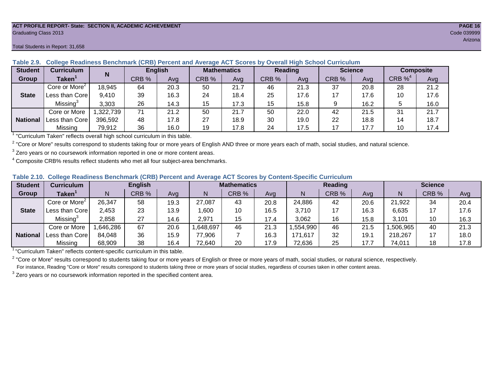#### **ACT PROFILE REPORT- State: SECTION II, ACADEMIC ACHIEVEMENT PAGE 16** Graduating Class 2013 Code 039999

#### Total Students in Report: 31,658

| <b>Student</b>  | Curriculum                |          | <b>English</b><br>N |      | <b>Mathematics</b> |      | <b>Reading</b> |      | <b>Science</b> |      | <b>Composite</b> |      |
|-----------------|---------------------------|----------|---------------------|------|--------------------|------|----------------|------|----------------|------|------------------|------|
| Group           | Taken $^{\rm \texttt{1}}$ |          | CRB %               | Avg  | CRB %              | Avg  | CRB %          | Avg  | CRB %          | Avg  | CRB $\%^4$       | Avg  |
|                 | Core or More <sup>2</sup> | 18,945   | 64                  | 20.3 | 50                 | 21.7 | 46             | 21.3 | 37             | 20.8 | 28               | 21.2 |
| <b>State</b>    | Less than Core            | 9,410    | 39                  | 16.3 | 24                 | 18.4 | 25             | 17.6 | 17             | 17.6 | 10               | 17.6 |
|                 | Missing <sup>3</sup>      | 3,303    | 26                  | 14.3 | 15                 | 17.3 | 15             | 15.8 |                | 16.2 |                  | 16.0 |
|                 | Core or More              | ,322,739 | 71                  | 21.2 | 50                 | 21.7 | 50             | 22.0 | 42             | 21.5 | 31               | 21.7 |
| <b>National</b> | Less than Corel           | 396,592  | 48                  | 17.8 | 27                 | 18.9 | 30             | 19.0 | 22             | 18.8 | 14               | 18.7 |
|                 | Missing                   | 79,912   | 36                  | 16.0 | 19                 | 17.8 | 24             | 17.5 | 17             | 17.7 | 10               | 17.4 |

**Table 2.9. College Readiness Benchmark (CRB) Percent and Average ACT Scores by Overall High School Curriculum**

<sup>1</sup> "Curriculum Taken" reflects overall high school curriculum in this table.

 $^2$  "Core or More" results correspond to students taking four or more years of English AND three or more years each of math, social studies, and natural science.

 $3$  Zero years or no coursework information reported in one or more content areas.

 $4$  Composite CRB% results reflect students who met all four subject-area benchmarks.

|  |  |  |  |  |  | Table 2.10. College Readiness Benchmark (CRB) Percent and Average ACT Scores by Content-Specific Curriculum |
|--|--|--|--|--|--|-------------------------------------------------------------------------------------------------------------|
|--|--|--|--|--|--|-------------------------------------------------------------------------------------------------------------|

| <b>Student</b>  | <b>Curriculum</b>           | <b>English</b> |       | <b>Mathematics</b> |          |       | Reading |          |       | <b>Science</b> |          |       |      |
|-----------------|-----------------------------|----------------|-------|--------------------|----------|-------|---------|----------|-------|----------------|----------|-------|------|
| Group           | <b>Taken</b>                |                | CRB % | Avg                | N        | CRB % | Avg     | N        | CRB % | Avg            | N        | CRB % | Avg  |
|                 | Core or More <sup>2</sup>   | 26,347         | 58    | 19.3               | 27,087   | 43    | 20.8    | 24,886   | 42    | 20.6           | 21,922   | 34    | 20.4 |
| <b>State</b>    | Less than Core              | 2,453          | 23    | 13.9               | ,600     | 10    | 16.5    | 3,710    | 17    | 16.3           | 6,635    | 17    | 17.6 |
|                 | Missing <sup>3</sup>        | 2,858          | 27    | 14.6               | 2,971    | 15    | 17.4    | 3,062    | 16    | 15.8           | 3,101    | 10    | 16.3 |
|                 | Core or More                | .646,286       | 67    | 20.6               | ,648,697 | 46    | 21.3    | .554,990 | 46    | 21.5           | ,506,965 | 40    | 21.3 |
| <b>National</b> | <sup>1</sup> Less than Core | 84,048         | 36    | 15.9               | 77,906   |       | 16.3    | 171,617  | 32    | 19.7           | 218,267  |       | 18.0 |
|                 | Missing                     | 68,909         | 38    | 16.4               | 72,640   | 20    | 17.9    | 72,636   | 25    | 17.7           | 74,011   | 18    | 17.8 |

<sup>1</sup>"Curriculum Taken" reflects content-specific curriculum in this table.

<sup>2</sup> "Core or More" results correspond to students taking four or more years of English or three or more years of math, social studies, or natural science, respectively. For instance, Reading "Core or More" results correspond to students taking three or more years of social studies, regardless of courses taken in other content areas.

 $3$  Zero years or no coursework information reported in the specified content area.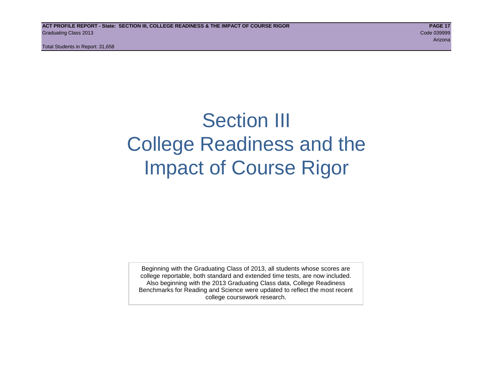# Section III College Readiness and the Impact of Course Rigor

Beginning with the Graduating Class of 2013, all students whose scores are college reportable, both standard and extended time tests, are now included. Also beginning with the 2013 Graduating Class data, College Readiness Benchmarks for Reading and Science were updated to reflect the most recent college coursework research.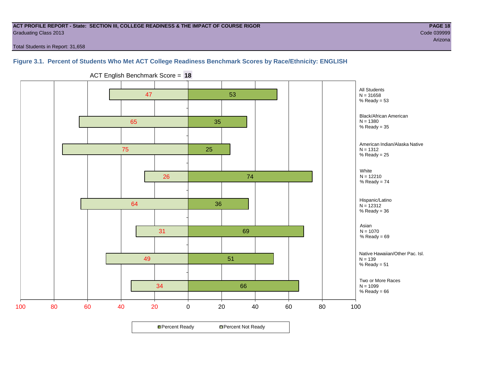#### **ACT PROFILE REPORT - State: SECTION III, COLLEGE READINESS & THE IMPACT OF COURSE RIGOR PAGE 18** Graduating Class 2013 Code 039999

arizona de la construcción de la construcción de la construcción de la construcción de la construcción de la c

Total Students in Report: 31,658

# **Figure 3.1. Percent of Students Who Met ACT College Readiness Benchmark Scores by Race/Ethnicity: ENGLISH**



ACT English Benchmark Score = **18**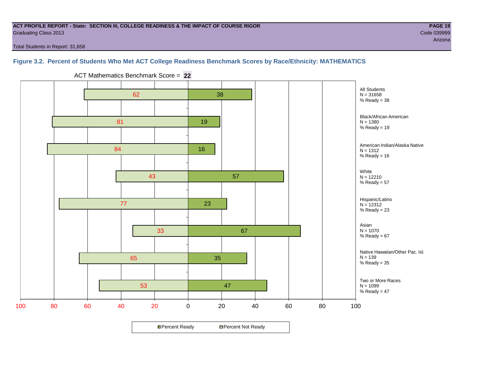#### **ACT PROFILE REPORT - State: SECTION III, COLLEGE READINESS & THE IMPACT OF COURSE RIGOR PAGE 19** Graduating Class 2013 Code 039999

Total Students in Report: 31,658

# **Figure 3.2. Percent of Students Who Met ACT College Readiness Benchmark Scores by Race/Ethnicity: MATHEMATICS**



ACT Mathematics Benchmark Score = **22**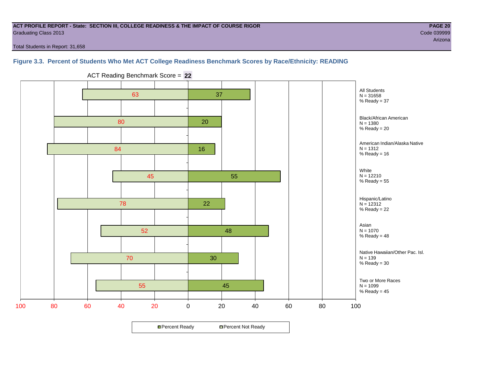#### **ACT PROFILE REPORT - State: SECTION III, COLLEGE READINESS & THE IMPACT OF COURSE RIGOR PAGE 20** Graduating Class 2013 Code 039999

Total Students in Report: 31,658

**Figure 3.3. Percent of Students Who Met ACT College Readiness Benchmark Scores by Race/Ethnicity: READING**



ACT Reading Benchmark Score = **22**

**□ Percent Ready DPercent Not Ready**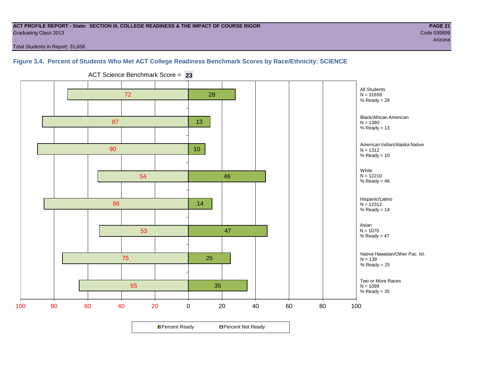#### **ACT PROFILE REPORT - State: SECTION III, COLLEGE READINESS & THE IMPACT OF COURSE RIGOR PAGE 21** Graduating Class 2013 Code 039999

arizona de la construcción de la construcción de la construcción de la construcción de la construcción de la c

Total Students in Report: 31,658

# **Figure 3.4. Percent of Students Who Met ACT College Readiness Benchmark Scores by Race/Ethnicity: SCIENCE**



ACT Science Benchmark Score = **23**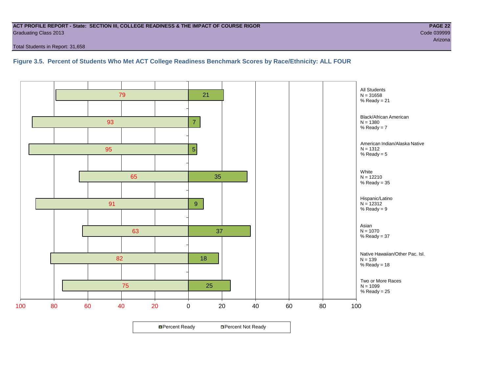#### **ACT PROFILE REPORT - State: SECTION III, COLLEGE READINESS & THE IMPACT OF COURSE RIGOR PAGE 22** Graduating Class 2013 Code 039999

Total Students in Report: 31,658

**Figure 3.5. Percent of Students Who Met ACT College Readiness Benchmark Scores by Race/Ethnicity: ALL FOUR**

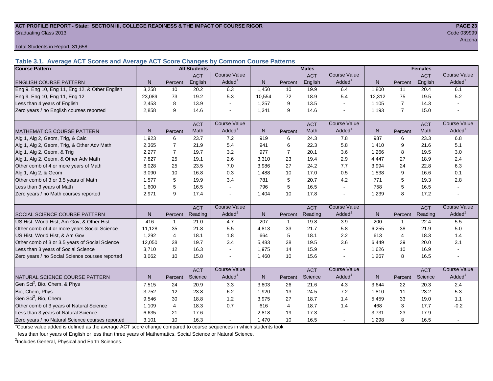#### **ACT PROFILE REPORT - State: SECTION III, COLLEGE READINESS & THE IMPACT OF COURSE RIGOR PAGE 23** Graduating Class 2013 Code 039999

Total Students in Report: 31,658

**Table 3.1. Average ACT Scores and Average ACT Score Changes by Common Course Patterns**

| <b>Course Pattern</b>                            |        |                | <b>All Students</b> |                          |              |                | <b>Males</b> |                     |              |                | <b>Females</b> |                        |
|--------------------------------------------------|--------|----------------|---------------------|--------------------------|--------------|----------------|--------------|---------------------|--------------|----------------|----------------|------------------------|
|                                                  |        |                | <b>ACT</b>          | <b>Course Value</b>      |              |                | <b>ACT</b>   | <b>Course Value</b> |              |                | <b>ACT</b>     | <b>Course Value</b>    |
| <b>ENGLISH COURSE PATTERN</b>                    | N.     | Percent        | English             | Added <sup>1</sup>       | N            | Percent        | English      | Added               | N            | Percent        | English        | A d d e d <sup>1</sup> |
| Eng 9, Eng 10, Eng 11, Eng 12, & Other English   | 3,258  | 10             | 20.2                | 6.3                      | 1,450        | 10             | 19.9         | 6.4                 | 1,800        | 11             | 20.4           | 6.1                    |
| Eng 9, Eng 10, Eng 11, Eng 12                    | 23,089 | 73             | 19.2                | 5.3                      | 10,554       | 72             | 18.9         | 5.4                 | 12,312       | 75             | 19.5           | 5.2                    |
| Less than 4 years of English                     | 2,453  | 8              | 13.9                |                          | 1,257        | 9              | 13.5         | $\sim$              | 1,105        | $\overline{7}$ | 14.3           |                        |
| Zero years / no English courses reported         | 2,858  | 9              | 14.6                |                          | 1,341        | 9              | 14.6         | L,                  | 1,193        | $\overline{7}$ | 15.0           |                        |
|                                                  |        |                | <b>ACT</b>          | <b>Course Value</b>      |              |                | <b>ACT</b>   | <b>Course Value</b> |              |                | <b>ACT</b>     | <b>Course Value</b>    |
| <b>MATHEMATICS COURSE PATTERN</b>                | N.     | Percent        | Math                | Added <sup>1</sup>       | $\mathsf{N}$ | Percent        | Math         | Added <sup>1</sup>  | N            | Percent        | Math           | A d d e d <sup>1</sup> |
| Alg 1, Alg 2, Geom, Trig, & Calc                 | 1,923  | 6              | 23.7                | 7.2                      | 919          | 6              | 24.3         | 7.8                 | 987          | 6              | 23.3           | 6.8                    |
| Alg 1, Alg 2, Geom, Trig, & Other Adv Math       | 2.365  | $\overline{7}$ | 21.9                | 5.4                      | 941          | 6              | 22.3         | 5.8                 | 1,410        | 9              | 21.6           | 5.1                    |
| Alg 1, Alg 2, Geom, & Trig                       | 2.277  | $\overline{7}$ | 19.7                | 3.2                      | 977          | $\overline{7}$ | 20.1         | 3.6                 | 1,266        | 8              | 19.5           | 3.0                    |
| Alg 1, Alg 2, Geom, & Other Adv Math             | 7,827  | 25             | 19.1                | 2.6                      | 3,310        | 23             | 19.4         | 2.9                 | 4,447        | 27             | 18.9           | 2.4                    |
| Other comb of 4 or more years of Math            | 8.028  | 25             | 23.5                | 7.0                      | 3,986        | 27             | 24.2         | 7.7                 | 3,994        | 24             | 22.8           | 6.3                    |
| Alg 1, Alg 2, & Geom                             | 3,090  | 10             | 16.8                | 0.3                      | 1,488        | 10             | 17.0         | 0.5                 | 1,538        | 9              | 16.6           | 0.1                    |
| Other comb of 3 or 3.5 years of Math             | 1.577  | 5              | 19.9                | 3.4                      | 781          | 5              | 20.7         | 4.2                 | 771          | 5              | 19.3           | 2.8                    |
| Less than 3 years of Math                        | 1.600  | 5              | 16.5                |                          | 796          | 5              | 16.5         | $\mathbf{r}$        | 758          | 5              | 16.5           |                        |
| Zero years / no Math courses reported            | 2,971  | 9              | 17.4                |                          | 1,404        | 10             | 17.8         | $\sim$              | 1,239        | 8              | 17.2           |                        |
|                                                  |        |                | <b>ACT</b>          | <b>Course Value</b>      |              |                | <b>ACT</b>   | <b>Course Value</b> |              |                | <b>ACT</b>     | <b>Course Value</b>    |
| <b>I</b> SOCIAL SCIENCE COURSE PATTERN           | N.     | Percent        | Reading             | $A d d e d$ <sup>1</sup> | N            | Percent        | Reading      | Added               | N            | Percent        | Reading        | $A dded^1$             |
| US Hist, World Hist, Am Gov, & Other Hist        | 416    | $\mathbf{1}$   | 21.0                | 4.7                      | 207          | $\mathbf{1}$   | 19.8         | 3.9                 | 200          | 1              | 22.4           | 5.5                    |
| Other comb of 4 or more years Social Science     | 11,128 | 35             | 21.8                | 5.5                      | 4,813        | 33             | 21.7         | 5.8                 | 6,255        | 38             | 21.9           | 5.0                    |
| US Hist, World Hist, & Am Gov                    | 1,292  | $\overline{4}$ | 18.1                | 1.8                      | 664          | 5              | 18.1         | 2.2                 | 613          | $\overline{4}$ | 18.3           | 1.4                    |
| Other comb of 3 or 3.5 years of Social Science   | 12,050 | 38             | 19.7                | 3.4                      | 5,483        | 38             | 19.5         | 3.6                 | 6,449        | 39             | 20.0           | 3.1                    |
| Less than 3 years of Social Science              | 3,710  | 12             | 16.3                |                          | 1,975        | 14             | 15.9         | $\blacksquare$      | 1,626        | 10             | 16.9           |                        |
| Zero years / no Social Science courses reported  | 3,062  | 10             | 15.8                |                          | 1,460        | 10             | 15.6         | $\overline{a}$      | 1,267        | 8              | 16.5           |                        |
|                                                  |        |                | <b>ACT</b>          | Course Value             |              |                | <b>ACT</b>   | Course Value        |              |                | <b>ACT</b>     | <b>Course Value</b>    |
| <b>I</b> NATURAL SCIENCE COURSE PATTERN          | N.     | Percent        | Science             | A d d e d <sup>1</sup>   | $\mathsf{N}$ | Percent        | Science      | Added <sup>1</sup>  | $\mathsf{N}$ | Percent        | Science        | A d d e d <sup>1</sup> |
| Gen Sci <sup>2</sup> , Bio, Chem, & Phys         | 7,515  | 24             | 20.9                | 3.3                      | 3,803        | 26             | 21.6         | 4.3                 | 3,644        | 22             | 20.3           | 2.4                    |
| Bio, Chem, Phys                                  | 3,752  | 12             | 23.8                | 6.2                      | 1,920        | 13             | 24.5         | 7.2                 | 1,810        | 11             | 23.2           | 5.3                    |
| Gen Sci <sup>2</sup> , Bio, Chem                 | 9,546  | 30             | 18.8                | 1.2                      | 3,975        | 27             | 18.7         | 1.4                 | 5,459        | 33             | 19.0           | 1.1                    |
| Other comb of 3 years of Natural Science         | 1,109  | $\overline{4}$ | 18.3                | 0.7                      | 616          | $\overline{4}$ | 18.7         | 1.4                 | 468          | 3              | 17.7           | $-0.2$                 |
| Less than 3 years of Natural Science             | 6,635  | 21             | 17.6                |                          | 2,818        | 19             | 17.3         |                     | 3,731        | 23             | 17.9           |                        |
| Zero years / no Natural Science courses reported | 3,101  | 10             | 16.3                |                          | 1,470        | 10             | 16.5         | $\sim$              | 1,298        | 8              | 16.5           |                        |

<sup>1</sup>Course value added is defined as the average ACT score change compared to course sequences in which students took

less than four years of English or less than three years of Mathematics, Social Science or Natural Science.

<sup>2</sup>Includes General, Physical and Earth Sciences.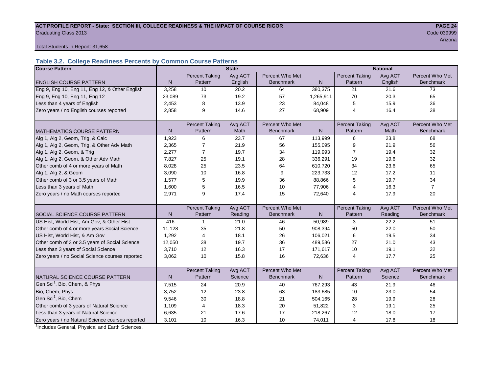#### ACT PROFILE REPORT - State: SECTION III, COLLEGE READINESS & THE IMPACT OF COURSE RIGOR **PAGE 24 Graduating Class 2013** Code 039999 Code 039999

arizona a batalana a tanàna amin'ny fivondronan-kaominin'i Amerika ao amin'ny faritr'i Nord-Arizona. Ny faritr

Total Students in Report: 31,658

# **Table 3.2. College Readiness Percents by Common Course Patterns**

| <b>Course Pattern</b>                            |              |                       | <b>State</b> |                  |              | <b>National</b>       |         |                  |  |  |
|--------------------------------------------------|--------------|-----------------------|--------------|------------------|--------------|-----------------------|---------|------------------|--|--|
|                                                  |              | <b>Percent Taking</b> | Avg ACT      | Percent Who Met  |              | <b>Percent Taking</b> | Avg ACT | Percent Who Met  |  |  |
| <b>ENGLISH COURSE PATTERN</b>                    | $\mathsf{N}$ | Pattern               | English      | <b>Benchmark</b> | N            | Pattern               | English | <b>Benchmark</b> |  |  |
| Eng 9, Eng 10, Eng 11, Eng 12, & Other English   | 3,258        | 10                    | 20.2         | 64               | 380,375      | 21                    | 21.6    | 73               |  |  |
| Eng 9, Eng 10, Eng 11, Eng 12                    | 23,089       | 73                    | 19.2         | 57               | 1,265,911    | 70                    | 20.3    | 65               |  |  |
| Less than 4 years of English                     | 2,453        | 8                     | 13.9         | 23               | 84,048       | 5                     | 15.9    | 36               |  |  |
| Zero years / no English courses reported         | 2,858        | 9                     | 14.6         | 27               | 68,909       | $\overline{4}$        | 16.4    | 38               |  |  |
|                                                  |              |                       |              |                  |              |                       |         |                  |  |  |
|                                                  |              | <b>Percent Taking</b> | Avg ACT      | Percent Who Met  |              | <b>Percent Taking</b> | Avg ACT | Percent Who Met  |  |  |
| <b>MATHEMATICS COURSE PATTERN</b>                | N            | Pattern               | <b>Math</b>  | <b>Benchmark</b> | N            | Pattern               | Math    | <b>Benchmark</b> |  |  |
| Alg 1, Alg 2, Geom, Trig, & Calc                 | 1,923        | 6                     | 23.7         | 67               | 113,999      | 6                     | 23.8    | 68               |  |  |
| Alg 1, Alg 2, Geom, Trig, & Other Adv Math       | 2,365        | 7                     | 21.9         | 56               | 155,095      | 9                     | 21.9    | 56               |  |  |
| Alg 1, Alg 2, Geom, & Trig                       | 2,277        | $\overline{7}$        | 19.7         | 34               | 119,993      | 7                     | 19.4    | 32               |  |  |
| Alg 1, Alg 2, Geom, & Other Adv Math             | 7,827        | 25                    | 19.1         | 28               | 336,291      | 19                    | 19.6    | 32               |  |  |
| Other comb of 4 or more years of Math            | 8,028        | 25                    | 23.5         | 64               | 610,720      | 34                    | 23.6    | 65               |  |  |
| Alg 1, Alg 2, & Geom                             | 3,090        | 10                    | 16.8         | 9                | 223,733      | 12                    | 17.2    | 11               |  |  |
| Other comb of 3 or 3.5 years of Math             | 1,577        | 5                     | 19.9         | 36               | 88,866       | 5                     | 19.7    | 34               |  |  |
| Less than 3 years of Math                        | 1,600        | 5                     | 16.5         | 10               | 77,906       | 4                     | 16.3    | $\overline{7}$   |  |  |
| Zero years / no Math courses reported            | 2,971        | 9                     | 17.4         | 15               | 72,640       | 4                     | 17.9    | 20               |  |  |
|                                                  |              |                       |              |                  |              |                       |         |                  |  |  |
|                                                  |              | <b>Percent Taking</b> | Avg ACT      | Percent Who Met  |              | <b>Percent Taking</b> | Avg ACT | Percent Who Met  |  |  |
| SOCIAL SCIENCE COURSE PATTERN                    | N            | Pattern               | Reading      | <b>Benchmark</b> | $\mathsf{N}$ | Pattern               | Reading | <b>Benchmark</b> |  |  |
| US Hist, World Hist, Am Gov, & Other Hist        | 416          | $\mathbf 1$           | 21.0         | 46               | 50,989       | 3                     | 22.2    | 51               |  |  |
| Other comb of 4 or more years Social Science     | 11,128       | 35                    | 21.8         | 50               | 908,394      | 50                    | 22.0    | 50               |  |  |
| US Hist, World Hist, & Am Gov                    | 1,292        | 4                     | 18.1         | 26               | 106,021      | 6                     | 19.5    | 34               |  |  |
| Other comb of 3 or 3.5 years of Social Science   | 12,050       | 38                    | 19.7         | 36               | 489,586      | 27                    | 21.0    | 43               |  |  |
| Less than 3 years of Social Science              | 3,710        | 12                    | 16.3         | 17               | 171,617      | 10                    | 19.1    | 32               |  |  |
| Zero years / no Social Science courses reported  | 3,062        | 10                    | 15.8         | 16               | 72,636       | $\overline{4}$        | 17.7    | 25               |  |  |
|                                                  |              |                       |              |                  |              |                       |         |                  |  |  |
|                                                  |              | <b>Percent Taking</b> | Avg ACT      | Percent Who Met  |              | <b>Percent Taking</b> | Avg ACT | Percent Who Met  |  |  |
| NATURAL SCIENCE COURSE PATTERN                   | N            | Pattern               | Science      | <b>Benchmark</b> | N            | Pattern               | Science | <b>Benchmark</b> |  |  |
| Gen Sci <sup>1</sup> , Bio, Chem, & Phys         | 7,515        | 24                    | 20.9         | 40               | 767,293      | 43                    | 21.9    | 46               |  |  |
| Bio, Chem, Phys                                  | 3,752        | 12                    | 23.8         | 63               | 183,685      | 10                    | 23.0    | 54               |  |  |
| Gen Sci <sup>1</sup> , Bio, Chem                 | 9,546        | 30                    | 18.8         | 21               | 504,165      | 28                    | 19.9    | 28               |  |  |
| Other comb of 3 years of Natural Science         | 1,109        | 4                     | 18.3         | 20               | 51,822       | 3                     | 19.1    | 25               |  |  |
| Less than 3 years of Natural Science             | 6,635        | 21                    | 17.6         | 17               | 218,267      | 12                    | 18.0    | 17               |  |  |
| Zero years / no Natural Science courses reported | 3,101        | 10                    | 16.3         | 10               | 74,011       | 4                     | 17.8    | 18               |  |  |

<sup>1</sup>Includes General, Physical and Earth Sciences.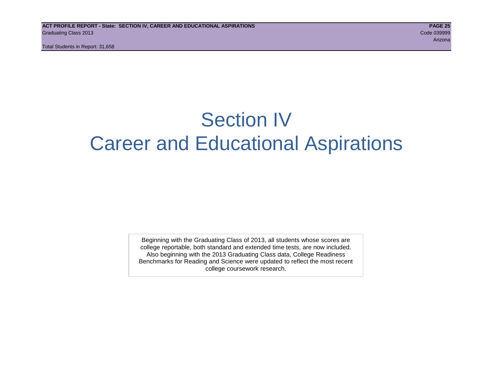# Section IV Career and Educational Aspirations

Beginning with the Graduating Class of 2013, all students whose scores are college reportable, both standard and extended time tests, are now included. Also beginning with the 2013 Graduating Class data, College Readiness Benchmarks for Reading and Science were updated to reflect the most recent college coursework research.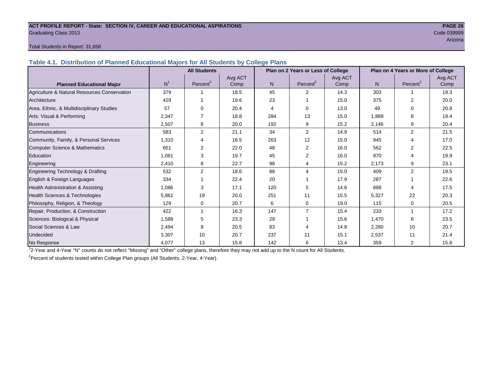#### **ACT PROFILE REPORT - State: SECTION IV, CAREER AND EDUCATIONAL ASPIRATIONS PAGE 26** Graduating Class 2013 Code 039999

arizona de la construcción de la construcción de la construcción de la construcción de la construcción de la c

#### Total Students in Report: 31,658

**Table 4.1. Distribution of Planned Educational Majors for All Students by College Plans**

|                                              |                | <b>All Students</b>  |         |     | Plan on 2 Years or Less of College |         |       | Plan on 4 Years or More of College |         |
|----------------------------------------------|----------------|----------------------|---------|-----|------------------------------------|---------|-------|------------------------------------|---------|
|                                              |                |                      | Avg ACT |     |                                    | Avg ACT |       |                                    | Avg ACT |
| <b>Planned Educational Major</b>             | N <sup>1</sup> | Percent <sup>2</sup> | Comp    | N.  | Percent <sup>2</sup>               | Comp    | N     | Percent <sup>2</sup>               | Comp    |
| Agriculture & Natural Resources Conservation | 379            |                      | 18.5    | 45  | 2                                  | 14.3    | 303   |                                    | 19.3    |
| Architecture                                 | 429            |                      | 19.6    | 23  |                                    | 15.0    | 375   | 2                                  | 20.0    |
| Area, Ethnic, & Multidisciplinary Studies    | 57             | $\Omega$             | 20.4    | 4   | $\Omega$                           | 13.0    | 49    | 0                                  | 20.8    |
| Arts: Visual & Performing                    | 2,347          |                      | 18.8    | 284 | 13                                 | 15.0    | 1,889 | 8                                  | 19.4    |
| <b>Business</b>                              | 2,507          | 8                    | 20.0    | 192 | 9                                  | 15.2    | 2,146 | 9                                  | 20.4    |
| Communications                               | 583            | $\overline{2}$       | 21.1    | 34  | 2                                  | 14.9    | 514   | $\overline{2}$                     | 21.5    |
| Community, Family, & Personal Services       | 1,310          | 4                    | 16.5    | 263 | 12                                 | 15.0    | 945   | 4                                  | 17.0    |
| Computer Science & Mathematics               | 651            | 2                    | 22.0    | 48  | 2                                  | 16.0    | 562   |                                    | 22.5    |
| Education                                    | 1,061          | 3                    | 19.7    | 45  | 2                                  | 16.0    | 970   | 4                                  | 19.9    |
| Engineering                                  | 2,410          | 8                    | 22.7    | 98  | 4                                  | 15.2    | 2,173 | 9                                  | 23.1    |
| Engineering Technology & Drafting            | 532            | 2                    | 18.6    | 88  | 4                                  | 15.0    | 409   | $\overline{2}$                     | 19.5    |
| English & Foreign Languages                  | 334            |                      | 22.4    | 20  |                                    | 17.9    | 287   |                                    | 22.6    |
| <b>Health Administration &amp; Assisting</b> | 1.086          | 3                    | 17.1    | 120 | 5                                  | 14.8    | 888   | 4                                  | 17.5    |
| Health Sciences & Technologies               | 5,861          | 19                   | 20.0    | 251 | 11                                 | 15.5    | 5,327 | 22                                 | 20.3    |
| Philosophy, Religion, & Theology             | 129            | 0                    | 20.7    | 6   | $\mathbf 0$                        | 19.0    | 115   | 0                                  | 20.5    |
| Repair, Production, & Construction           | 422            |                      | 16.3    | 147 | $\overline{7}$                     | 15.4    | 233   |                                    | 17.2    |
| Sciences: Biological & Physical              | 1,588          | 5                    | 23.3    | 29  |                                    | 15.6    | 1,470 | 6                                  | 23.5    |
| Social Sciences & Law                        | 2,494          | 8                    | 20.5    | 83  |                                    | 14.8    | 2,280 | 10                                 | 20.7    |
| Undecided                                    | 3,307          | 10                   | 20.7    | 237 | 11                                 | 15.1    | 2,537 | 11                                 | 21.4    |
| No Response                                  | 4,077          | 13                   | 15.8    | 142 | 6                                  | 13.4    | 359   | $\overline{2}$                     | 15.8    |

1 2-Year and 4-Year "N" counts do not reflect "Missing" and "Other" college plans, therefore they may not add up to the N count for All Students.

<sup>2</sup> Percent of students tested within College Plan groups (All Students, 2-Year, 4-Year).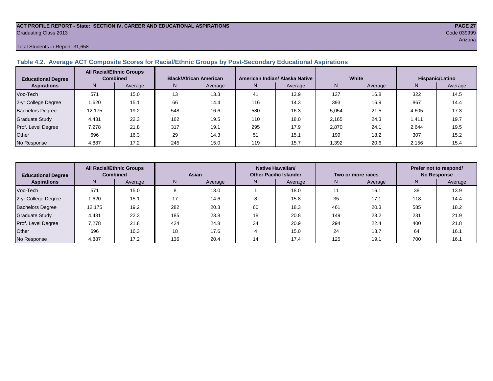#### **ACT PROFILE REPORT - State: SECTION IV, CAREER AND EDUCATIONAL ASPIRATIONS PAGE 27** Graduating Class 2013 Code 039999

#### Total Students in Report: 31,658

# **Table 4.2. Average ACT Composite Scores for Racial/Ethnic Groups by Post-Secondary Educational Aspirations**

| <b>Educational Degree</b> | <b>All Racial/Ethnic Groups</b><br><b>Combined</b> |         | <b>Black/African American</b> |         |     | American Indian/ Alaska Native |       | White   | Hispanic/Latino |         |  |
|---------------------------|----------------------------------------------------|---------|-------------------------------|---------|-----|--------------------------------|-------|---------|-----------------|---------|--|
| <b>Aspirations</b>        | N                                                  | Average | N.                            | Average | N   | Average                        | N     | Average | N               | Average |  |
| Voc-Tech                  | 571                                                | 15.0    | 13                            | 13.3    | 41  | 13.9                           | 137   | 16.8    | 322             | 14.5    |  |
| 2-yr College Degree       | 1.620                                              | 15.7    | 66                            | 14.4    | 116 | 14.3                           | 393   | 16.9    | 867             | 14.4    |  |
| <b>Bachelors Degree</b>   | 12.175                                             | 19.2    | 548                           | 16.6    | 580 | 16.3                           | 5.054 | 21.5    | 4.605           | 17.3    |  |
| <b>Graduate Study</b>     | 4,431                                              | 22.3    | 162                           | 19.5    | 110 | 18.0                           | 2,165 | 24.3    | 1,411           | 19.7    |  |
| Prof. Level Degree        | 7,278                                              | 21.8    | 317                           | 19.1    | 295 | 17.9                           | 2,870 | 24.1    | 2.644           | 19.5    |  |
| Other                     | 696                                                | 16.3    | 29                            | 14.3    | 51  | 15.1                           | 199   | 18.2    | 307             | 15.2    |  |
| No Response               | 4,887                                              | 17.2    | 245                           | 15.0    | 119 | 15.7                           | .392  | 20.6    | 2,156           | 15.4    |  |

| <b>Educational Degree</b> | <b>All Racial/Ethnic Groups</b><br><b>Combined</b> |         | Asian |         |              | Native Hawaiian/<br><b>Other Pacific Islander</b> |     | Two or more races | Prefer not to respond/<br><b>No Response</b> |         |  |
|---------------------------|----------------------------------------------------|---------|-------|---------|--------------|---------------------------------------------------|-----|-------------------|----------------------------------------------|---------|--|
| <b>Aspirations</b>        | N                                                  | Average | N     | Average | Average<br>N |                                                   | N   | Average           | N                                            | Average |  |
| Voc-Tech                  | 571                                                | 15.0    | 8     | 13.0    |              | 18.0                                              | 11  | 16.1              | 38                                           | 13.9    |  |
| 2-yr College Degree       | 1,620                                              | 15.1    | 17    | 14.6    |              | 15.8                                              | 35  | 17.1              | 118                                          | 14.4    |  |
| <b>Bachelors Degree</b>   | 12,175                                             | 19.2    | 282   | 20.3    | 60           | 18.3                                              | 461 | 20.3              | 585                                          | 18.2    |  |
| <b>Graduate Study</b>     | 4.431                                              | 22.3    | 185   | 23.8    | 18           | 20.8                                              | 149 | 23.2              | 231                                          | 21.9    |  |
| Prof. Level Degree        | 7,278                                              | 21.8    | 424   | 24.8    | 34           | 20.9                                              | 294 | 22.4              | 400                                          | 21.8    |  |
| Other                     | 696                                                | 16.3    | 18    | 17.6    |              | 15.0                                              | 24  | 18.7              | 64                                           | 16.1    |  |
| No Response               | 4,887                                              | 17.2    | 136   | 20.4    | 14           | 17.4                                              | 125 | 19.1              | 700                                          | 16.1    |  |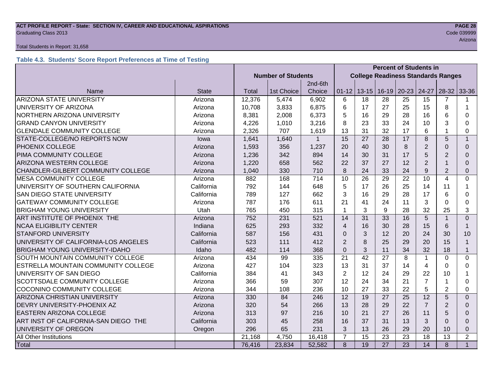#### **ACT PROFILE REPORT - State: SECTION IV, CAREER AND EDUCATIONAL ASPIRATIONS PAGE 28** Code 039999 Craduating Class 2013 Code 039999 Code 039999 Code 039999 Code 039999 Code 039999 Code 039999 Code 039999 Code 039999 Code 039999 Code 039999 Code 039999 Code 039999 Code 039999 Code 039999 Code 039999 Code 039

#### Total Students in Report: 31,658

# **Table 4.3. Students' Score Report Preferences at Time of Testing**

|                                       |              | <b>Percent of Students in</b> |                                           |         |                         |           |         |           |                |                |                |
|---------------------------------------|--------------|-------------------------------|-------------------------------------------|---------|-------------------------|-----------|---------|-----------|----------------|----------------|----------------|
|                                       |              | <b>Number of Students</b>     | <b>College Readiness Standards Ranges</b> |         |                         |           |         |           |                |                |                |
|                                       |              |                               |                                           | 2nd-6th |                         |           |         |           |                |                |                |
| Name                                  | <b>State</b> | Total                         | 1st Choice                                | Choice  | $01 - 12$               | $13 - 15$ | $16-19$ | $20 - 23$ | 24-27          | $28-32$ 33-36  |                |
| <b>ARIZONA STATE UNIVERSITY</b>       | Arizona      | 12,376                        | 5,474                                     | 6,902   | 6                       | 18        | 28      | 25        | 15             | 7              |                |
| UNIVERSITY OF ARIZONA                 | Arizona      | 10,708                        | 3,833                                     | 6,875   | 6                       | 17        | 27      | 25        | 15             | 8              | 1              |
| NORTHERN ARIZONA UNIVERSITY           | Arizona      | 8,381                         | 2,008                                     | 6,373   | 5                       | 16        | 29      | 28        | 16             | 6              | 0              |
| <b>GRAND CANYON UNIVERSITY</b>        | Arizona      | 4,226                         | 1,010                                     | 3,216   | 8                       | 23        | 33      | 24        | 10             | 3              | 0              |
| <b>GLENDALE COMMUNITY COLLEGE</b>     | Arizona      | 2,326                         | 707                                       | 1,619   | 13                      | 31        | 32      | 17        | 6              |                | 0              |
| STATE-COLLEGE/NO REPORTS NOW          | lowa         | 1,641                         | 1,640                                     |         | 15                      | 27        | 28      | 17        | 8              | 5              | $\mathbf{1}$   |
| PHOENIX COLLEGE                       | Arizona      | 1,593                         | 356                                       | 1,237   | 20                      | 40        | 30      | 8         | 2              | $\Omega$       | $\Omega$       |
| PIMA COMMUNITY COLLEGE                | Arizona      | 1,236                         | 342                                       | 894     | 14                      | 30        | 31      | 17        | 5              | 2              | $\Omega$       |
| ARIZONA WESTERN COLLEGE               | Arizona      | 1,220                         | 658                                       | 562     | 22                      | 37        | 27      | 12        | $\overline{2}$ |                | $\Omega$       |
| CHANDLER-GILBERT COMMUNITY COLLEGE    | Arizona      | 1,040                         | 330                                       | 710     | 8                       | 24        | 33      | 24        | 9              | $\overline{2}$ | 0              |
| <b>MESA COMMUNITY COLLEGE</b>         | Arizona      | 882                           | 168                                       | 714     | 10                      | 26        | 29      | 22        | 10             | $\overline{4}$ | 0              |
| UNIVERSITY OF SOUTHERN CALIFORNIA     | California   | 792                           | 144                                       | 648     | 5                       | 17        | 26      | 25        | 14             | 11             | 1              |
| SAN DIEGO STATE UNIVERSITY            | California   | 789                           | 127                                       | 662     | 3                       | 16        | 29      | 28        | 17             | 6              | 0              |
| <b>GATEWAY COMMUNITY COLLEGE</b>      | Arizona      | 787                           | 176                                       | 611     | 21                      | 41        | 24      | 11        | 3              | $\Omega$       | 0              |
| <b>BRIGHAM YOUNG UNIVERSITY</b>       | Utah         | 765                           | 450                                       | 315     | 1                       | 3         | 9       | 28        | 32             | 25             | 3              |
| ART INSTITUTE OF PHOENIX THE          | Arizona      | 752                           | 231                                       | 521     | 14                      | 31        | 33      | 16        | 5              |                | $\Omega$       |
| <b>NCAA ELIGIBILITY CENTER</b>        | Indiana      | 625                           | 293                                       | 332     | $\overline{\mathbf{4}}$ | 16        | 30      | 28        | 15             | 6              | $\mathbf 1$    |
| <b>STANFORD UNIVERSITY</b>            | California   | 587                           | 156                                       | 431     | $\Omega$                | 3         | 12      | 20        | 24             | 30             | 10             |
| UNIVERSITY OF CALIFORNIA-LOS ANGELES  | California   | 523                           | 111                                       | 412     | $\overline{2}$          | 8         | 25      | 29        | 20             | 15             | $\mathbf{1}$   |
| <b>BRIGHAM YOUNG UNIVERSITY-IDAHO</b> | Idaho        | 482                           | 114                                       | 368     | $\Omega$                | 3         | 11      | 34        | 32             | 18             | $\mathbf{1}$   |
| SOUTH MOUNTAIN COMMUNITY COLLEGE      | Arizona      | 434                           | 99                                        | 335     | 21                      | 42        | 27      | 8         | $\mathbf{1}$   | $\Omega$       | 0              |
| ESTRELLA MOUNTAIN COMMUNITY COLLEGE   | Arizona      | 427                           | 104                                       | 323     | 13                      | 31        | 37      | 14        | 4              | $\Omega$       | $\Omega$       |
| UNIVERSITY OF SAN DIEGO               | California   | 384                           | 41                                        | 343     | $\overline{2}$          | 12        | 24      | 29        | 22             | 10             | 1              |
| SCOTTSDALE COMMUNITY COLLEGE          | Arizona      | 366                           | 59                                        | 307     | 12                      | 24        | 34      | 21        | $\overline{7}$ |                | 0              |
| COCONINO COMMUNITY COLLEGE            | Arizona      | 344                           | 108                                       | 236     | 10                      | 27        | 33      | 22        | 5              | $\overline{2}$ | 0              |
| ARIZONA CHRISTIAN UNIVERSITY          | Arizona      | 330                           | 84                                        | 246     | 12                      | 19        | 27      | 25        | 12             | 5              | $\Omega$       |
| DEVRY UNIVERSITY-PHOENIX AZ           | Arizona      | 320                           | 54                                        | 266     | 13                      | 28        | 29      | 22        | $\overline{7}$ | $\overline{2}$ | $\Omega$       |
| EASTERN ARIZONA COLLEGE               | Arizona      | 313                           | 97                                        | 216     | 10                      | 21        | 27      | 26        | 11             | 5              | $\Omega$       |
| ART INST OF CALIFORNIA-SAN DIEGO THE  | California   |                               | 45                                        | 258     | 16                      | 37        | 31      | 13        | 3              | $\Omega$       | $\Omega$       |
| UNIVERSITY OF OREGON                  | Oregon       | 296                           | 65                                        | 231     | 3                       | 13        | 26      | 29        | 20             | 10             | 0              |
| All Other Institutions                |              | 21,168                        | 4,750                                     | 16,418  | $\overline{7}$          | 15        | 23      | 23        | 18             | 13             | $\overline{2}$ |
| Total                                 |              | 76,416                        | 23,834                                    | 52,582  | 8                       | 19        | 27      | 23        | 14             | 8              | $\mathbf{1}$   |

arizona de la construcción de la construcción de la construcción de la construcción de la construcción de la c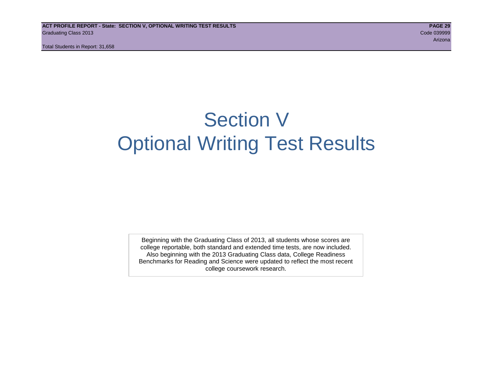# Section V Optional Writing Test Results

Beginning with the Graduating Class of 2013, all students whose scores are college reportable, both standard and extended time tests, are now included. Also beginning with the 2013 Graduating Class data, College Readiness Benchmarks for Reading and Science were updated to reflect the most recent college coursework research.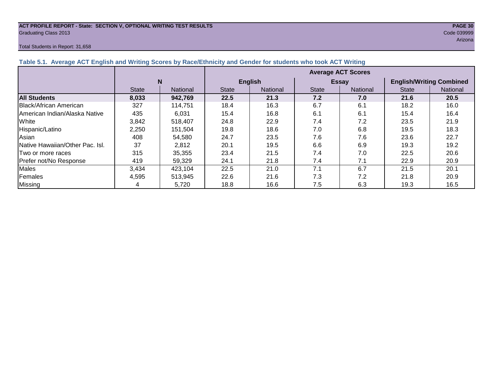#### **ACT PROFILE REPORT - State: SECTION V, OPTIONAL WRITING TEST RESULTS PAGE 30** Graduating Class 2013 Code 039999

#### Total Students in Report: 31,658

arizona de la construcción de la construcción de la construcción de la construcción de la construcción de la c

| $\frac{1}{2}$ and $\frac{1}{2}$ . The control of the control of $\frac{1}{2}$ and $\frac{1}{2}$ and $\frac{1}{2}$ and $\frac{1}{2}$ and $\frac{1}{2}$ and $\frac{1}{2}$ and $\frac{1}{2}$ and $\frac{1}{2}$ and $\frac{1}{2}$ and $\frac{1}{2}$ |              |                           |              |                 |              |                 |                                 |          |  |  |  |
|-------------------------------------------------------------------------------------------------------------------------------------------------------------------------------------------------------------------------------------------------|--------------|---------------------------|--------------|-----------------|--------------|-----------------|---------------------------------|----------|--|--|--|
|                                                                                                                                                                                                                                                 |              | <b>Average ACT Scores</b> |              |                 |              |                 |                                 |          |  |  |  |
|                                                                                                                                                                                                                                                 |              | N                         |              | <b>English</b>  |              | <b>Essay</b>    | <b>English/Writing Combined</b> |          |  |  |  |
|                                                                                                                                                                                                                                                 | <b>State</b> | National                  | <b>State</b> | <b>National</b> | <b>State</b> | <b>National</b> | <b>State</b>                    | National |  |  |  |
| <b>All Students</b>                                                                                                                                                                                                                             | 8,033        | 942,769                   | 22.5         | 21.3            | 7.2          | 7.0             | 21.6                            | 20.5     |  |  |  |
| Black/African American                                                                                                                                                                                                                          | 327          | 114,751                   | 18.4         | 16.3            | 6.7          | 6.1             | 18.2                            | 16.0     |  |  |  |
| American Indian/Alaska Native                                                                                                                                                                                                                   | 435          | 6,031                     | 15.4         | 16.8            | 6.1          | 6.1             | 15.4                            | 16.4     |  |  |  |
| White                                                                                                                                                                                                                                           | 3,842        | 518,407                   | 24.8         | 22.9            | 7.4          | 7.2             | 23.5                            | 21.9     |  |  |  |
| Hispanic/Latino                                                                                                                                                                                                                                 | 2,250        | 151.504                   | 19.8         | 18.6            | 7.0          | 6.8             | 19.5                            | 18.3     |  |  |  |
| Asian                                                                                                                                                                                                                                           | 408          | 54,580                    | 24.7         | 23.5            | 7.6          | 7.6             | 23.6                            | 22.7     |  |  |  |
| Native Hawaiian/Other Pac. Isl.                                                                                                                                                                                                                 | 37           | 2,812                     | 20.1         | 19.5            | 6.6          | 6.9             | 19.3                            | 19.2     |  |  |  |
| Two or more races                                                                                                                                                                                                                               | 315          | 35,355                    | 23.4         | 21.5            | 7.4          | 7.0             | 22.5                            | 20.6     |  |  |  |
| Prefer not/No Response                                                                                                                                                                                                                          | 419          | 59,329                    | 24.1         | 21.8            | 7.4          | 7.1             | 22.9                            | 20.9     |  |  |  |
| Males                                                                                                                                                                                                                                           | 3,434        | 423,104                   | 22.5         | 21.0            | 7.1          | 6.7             | 21.5                            | 20.1     |  |  |  |
| Females                                                                                                                                                                                                                                         | 4,595        | 513,945                   | 22.6         | 21.6            | 7.3          | 7.2             | 21.8                            | 20.9     |  |  |  |
| Missing                                                                                                                                                                                                                                         |              | 5,720                     | 18.8         | 16.6            | 7.5          | 6.3             | 19.3                            | 16.5     |  |  |  |

**Table 5.1. Average ACT English and Writing Scores by Race/Ethnicity and Gender for students who took ACT Writing**